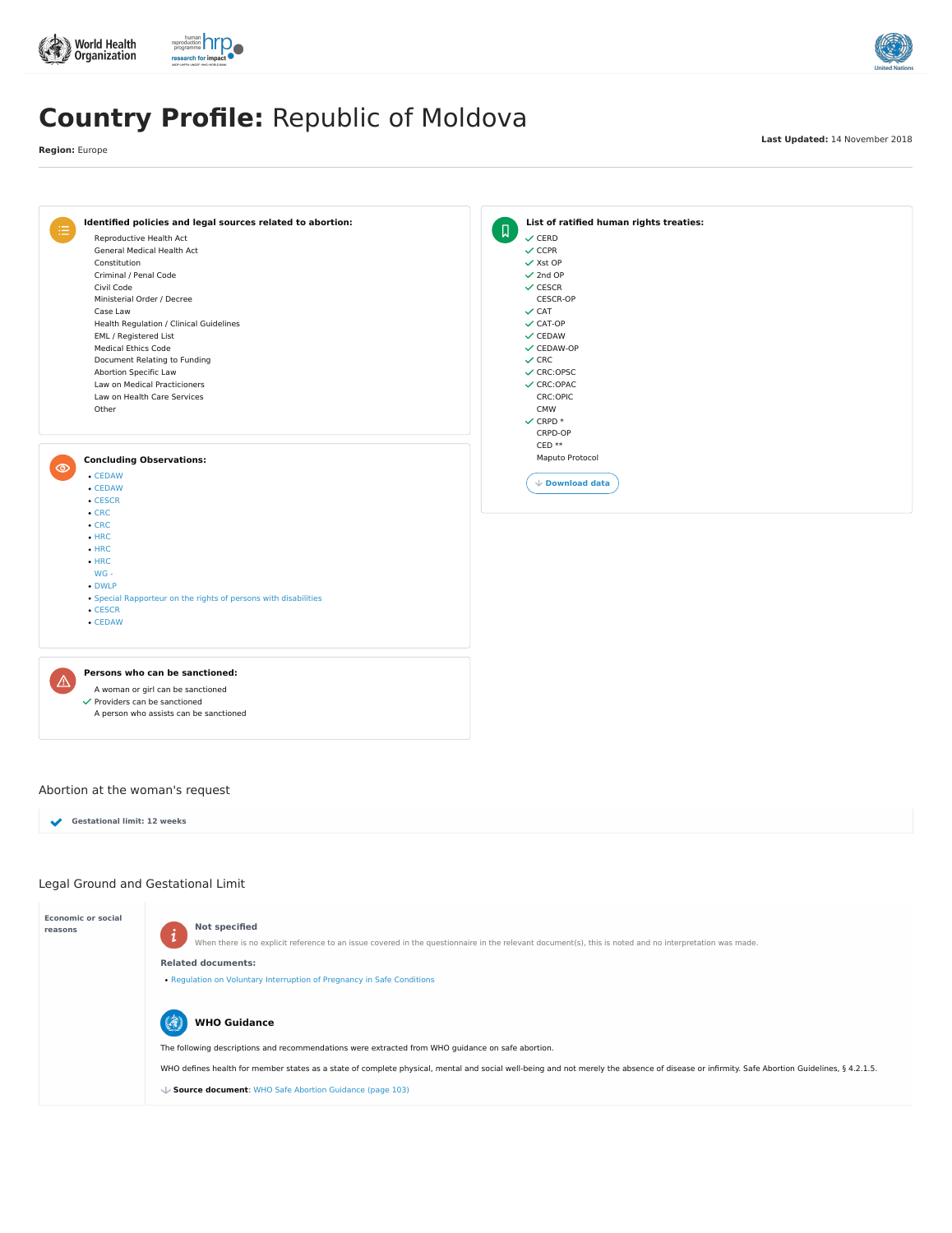

- $\checkmark$  Providers can be sanctioned
	- A person who assists can be sanctioned

# Legal Ground and Gestational Limit





# **Country Profile:** Republic of Moldova

**Region:** Europe

**Last Updated:** 14 November 2018

**Economic or social**



When there is no explicit reference to an issue covered in the questionnaire in the relevant document(s), this is noted and no interpretation was made.

#### **Related documents:**

• Regulation on Voluntary [Interruption](https://abortion-policies.srhr.org/documents/countries/01-MOLDOVA-REGULATION-VOLUNTARY-INTERRUPTION-OF-PREGNANCY-IN-SAFE-CONDITIONS-MINISTRY-OF-HEALTH-2010.pdf) of Pregnancy in Safe Conditions



The following descriptions and recommendations were extracted from WHO guidance on safe abortion.

WHO defines health for member states as a state of complete physical, mental and social well-being and not merely the absence of disease or infirmity. Safe Abortion Guidelines, § 4.2.1.5.

## **WHO Guidance**

**Source document**: WHO Safe Abortion [Guidance](https://abortion-policies.srhr.org/documents/reference/WHO-Safe-Abortion-Guidance-2012.pdf#page=103) (page 103)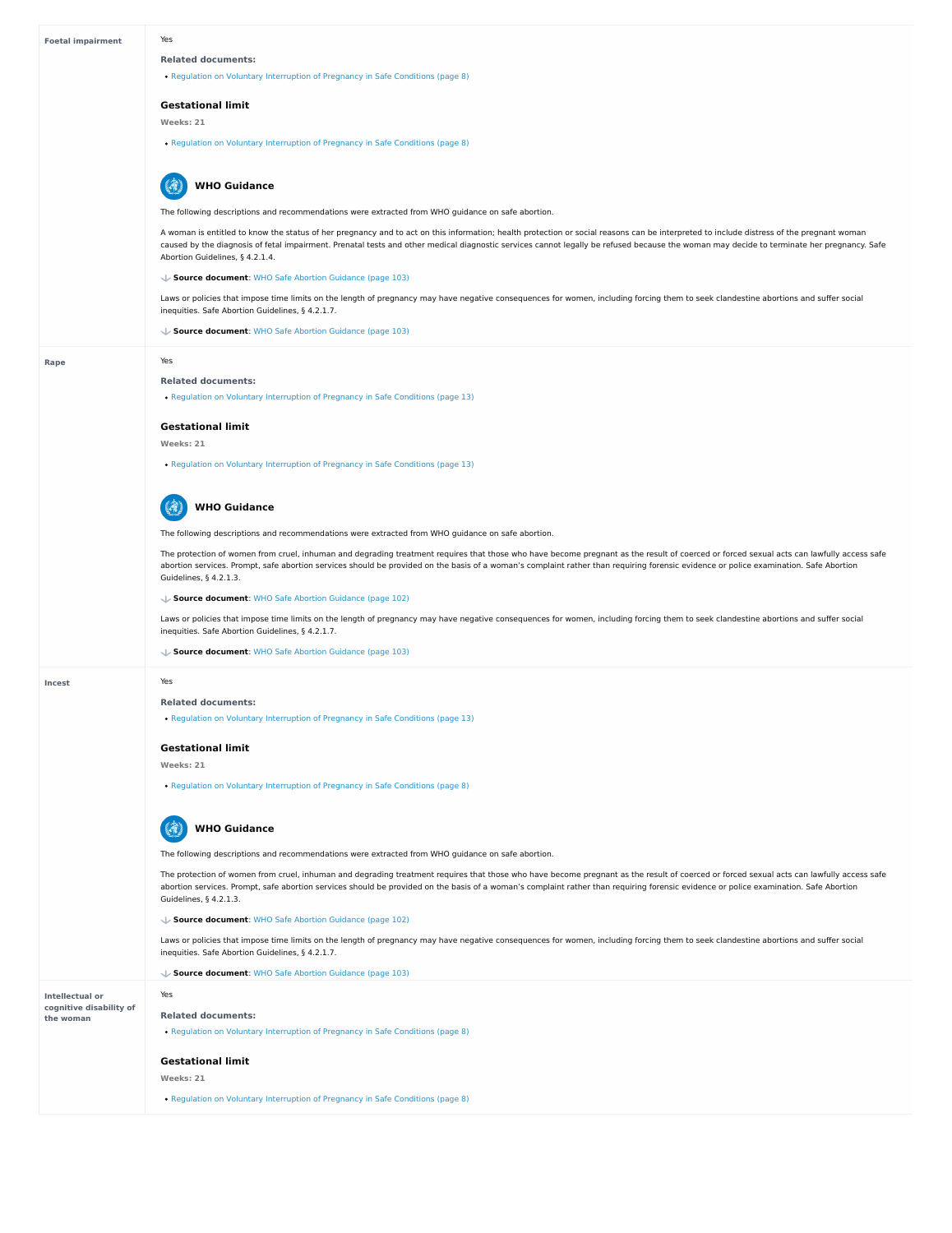| <b>Foetal impairment</b> | Yes                                                                                                                                                                                                                                                                                                                                                                                                                      |
|--------------------------|--------------------------------------------------------------------------------------------------------------------------------------------------------------------------------------------------------------------------------------------------------------------------------------------------------------------------------------------------------------------------------------------------------------------------|
|                          | <b>Related documents:</b>                                                                                                                                                                                                                                                                                                                                                                                                |
|                          | • Regulation on Voluntary Interruption of Pregnancy in Safe Conditions (page 8)                                                                                                                                                                                                                                                                                                                                          |
|                          | <b>Gestational limit</b>                                                                                                                                                                                                                                                                                                                                                                                                 |
|                          | Weeks: 21                                                                                                                                                                                                                                                                                                                                                                                                                |
|                          | • Regulation on Voluntary Interruption of Pregnancy in Safe Conditions (page 8)                                                                                                                                                                                                                                                                                                                                          |
|                          | <b>WHO Guidance</b>                                                                                                                                                                                                                                                                                                                                                                                                      |
|                          | The following descriptions and recommendations were extracted from WHO guidance on safe abortion.                                                                                                                                                                                                                                                                                                                        |
|                          | A woman is entitled to know the status of her pregnancy and to act on this information; health protection or social reasons can be interpreted to include distress of the pregnant woman<br>caused by the diagnosis of fetal impairment. Prenatal tests and other medical diagnostic services cannot legally be refused because the woman may decide to terminate her pregnancy. Safe<br>Abortion Guidelines, § 4.2.1.4. |
|                          | Source document: WHO Safe Abortion Guidance (page 103)                                                                                                                                                                                                                                                                                                                                                                   |
|                          | Laws or policies that impose time limits on the length of pregnancy may have negative consequences for women, including forcing them to seek clandestine abortions and suffer social<br>inequities. Safe Abortion Guidelines, § 4.2.1.7.                                                                                                                                                                                 |
|                          | Source document: WHO Safe Abortion Guidance (page 103)                                                                                                                                                                                                                                                                                                                                                                   |
| Rape                     | Yes                                                                                                                                                                                                                                                                                                                                                                                                                      |
|                          | <b>Related documents:</b>                                                                                                                                                                                                                                                                                                                                                                                                |
|                          | • Regulation on Voluntary Interruption of Pregnancy in Safe Conditions (page 13)                                                                                                                                                                                                                                                                                                                                         |
|                          | <b>Gestational limit</b>                                                                                                                                                                                                                                                                                                                                                                                                 |
|                          | Weeks: 21                                                                                                                                                                                                                                                                                                                                                                                                                |
|                          | • Regulation on Voluntary Interruption of Pregnancy in Safe Conditions (page 13)                                                                                                                                                                                                                                                                                                                                         |
|                          | <b>WHO Guidance</b>                                                                                                                                                                                                                                                                                                                                                                                                      |
|                          | The following descriptions and recommendations were extracted from WHO guidance on safe abortion.                                                                                                                                                                                                                                                                                                                        |
|                          | The protection of women from cruel, inhuman and degrading treatment requires that those who have become pregnant as the result of coerced or forced sexual acts can lawfully access safe<br>abortion services. Prompt, safe abortion services should be provided on the basis of a woman's complaint rather than requiring forensic evidence or police examination. Safe Abortion<br>Guidelines, § 4.2.1.3.              |
|                          | ↓ Source document: WHO Safe Abortion Guidance (page 102)                                                                                                                                                                                                                                                                                                                                                                 |
|                          | Laws or policies that impose time limits on the length of pregnancy may have negative consequences for women, including forcing them to seek clandestine abortions and suffer social<br>inequities. Safe Abortion Guidelines, § 4.2.1.7.                                                                                                                                                                                 |
|                          | ↓ Source document: WHO Safe Abortion Guidance (page 103)                                                                                                                                                                                                                                                                                                                                                                 |
| <b>Incest</b>            | Yes                                                                                                                                                                                                                                                                                                                                                                                                                      |
|                          | <b>Related documents:</b>                                                                                                                                                                                                                                                                                                                                                                                                |
|                          | • Regulation on Voluntary Interruption of Pregnancy in Safe Conditions (page 13)                                                                                                                                                                                                                                                                                                                                         |
|                          |                                                                                                                                                                                                                                                                                                                                                                                                                          |
|                          | <b>Gestational limit</b>                                                                                                                                                                                                                                                                                                                                                                                                 |
|                          | Weeks: 21                                                                                                                                                                                                                                                                                                                                                                                                                |

• Regulation on Voluntary [Interruption](https://abortion-policies.srhr.org/documents/countries/01-MOLDOVA-REGULATION-VOLUNTARY-INTERRUPTION-OF-PREGNANCY-IN-SAFE-CONDITIONS-MINISTRY-OF-HEALTH-2010.pdf#page=8) of Pregnancy in Safe Conditions (page 8)

|                                                   | <b>WHO Guidance</b>                                                                                                                                                                                                                                                                                                                                                                                         |
|---------------------------------------------------|-------------------------------------------------------------------------------------------------------------------------------------------------------------------------------------------------------------------------------------------------------------------------------------------------------------------------------------------------------------------------------------------------------------|
|                                                   | The following descriptions and recommendations were extracted from WHO guidance on safe abortion.                                                                                                                                                                                                                                                                                                           |
|                                                   | The protection of women from cruel, inhuman and degrading treatment requires that those who have become pregnant as the result of coerced or forced sexual acts can lawfully access safe<br>abortion services. Prompt, safe abortion services should be provided on the basis of a woman's complaint rather than requiring forensic evidence or police examination. Safe Abortion<br>Guidelines, § 4.2.1.3. |
|                                                   | ↓ Source document: WHO Safe Abortion Guidance (page 102)                                                                                                                                                                                                                                                                                                                                                    |
|                                                   | Laws or policies that impose time limits on the length of pregnancy may have negative consequences for women, including forcing them to seek clandestine abortions and suffer social<br>inequities. Safe Abortion Guidelines, § 4.2.1.7.                                                                                                                                                                    |
|                                                   | ↓ Source document: WHO Safe Abortion Guidance (page 103)                                                                                                                                                                                                                                                                                                                                                    |
| <b>Intellectual or</b><br>cognitive disability of | Yes                                                                                                                                                                                                                                                                                                                                                                                                         |
| the woman                                         | <b>Related documents:</b>                                                                                                                                                                                                                                                                                                                                                                                   |
|                                                   | . Regulation on Voluntary Interruption of Pregnancy in Safe Conditions (page 8)                                                                                                                                                                                                                                                                                                                             |
|                                                   | <b>Gestational limit</b>                                                                                                                                                                                                                                                                                                                                                                                    |
|                                                   | Weeks: 21                                                                                                                                                                                                                                                                                                                                                                                                   |
|                                                   | • Regulation on Voluntary Interruption of Pregnancy in Safe Conditions (page 8)                                                                                                                                                                                                                                                                                                                             |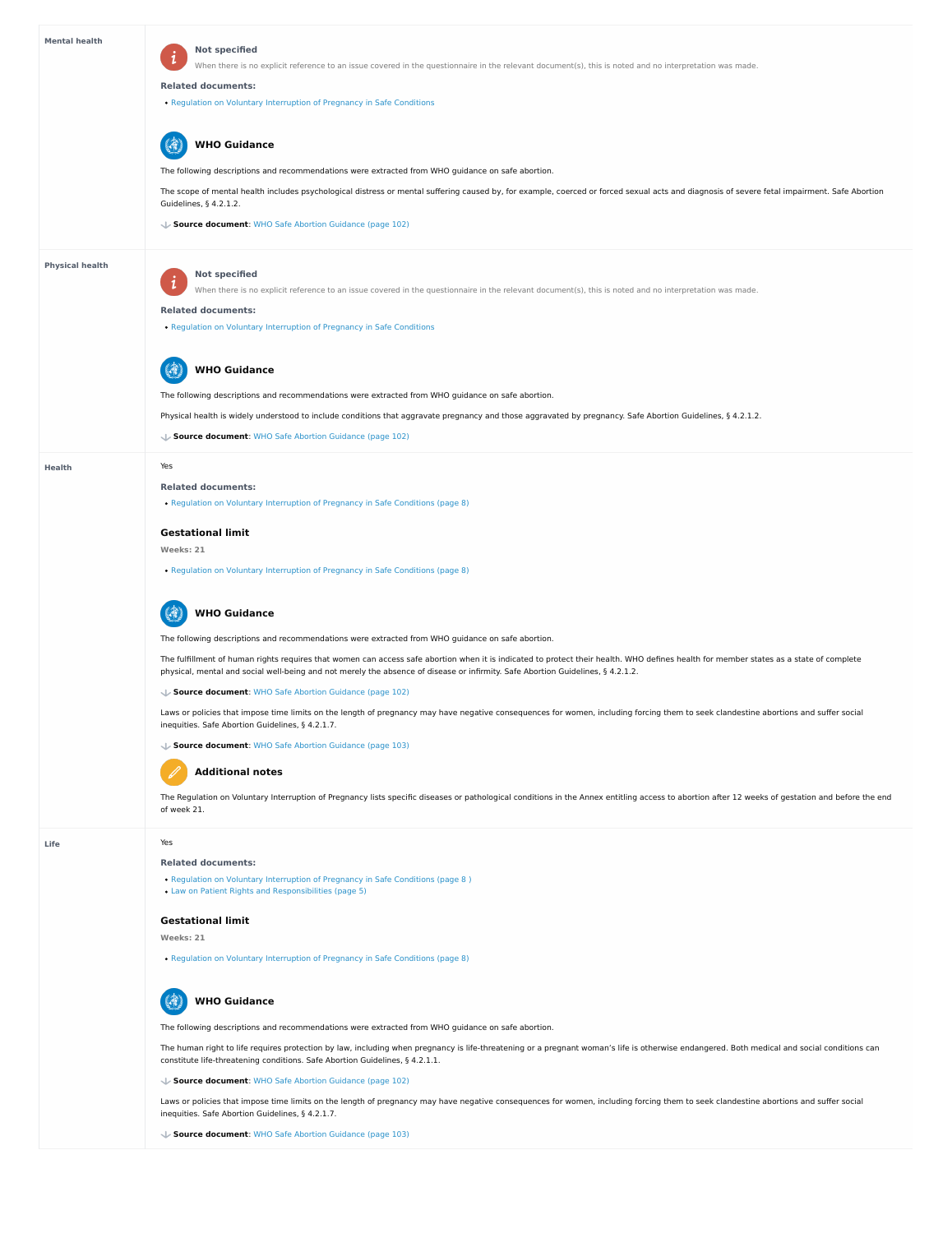**Life**

The Regulation on Voluntary Interruption of Pregnancy lists specific diseases or pathological conditions in the Annex entitling access to abortion after 12 weeks of gestation and before the end of week 21.

| <b>Mental health</b>   | <b>Not specified</b><br>When there is no explicit reference to an issue covered in the questionnaire in the relevant document(s), this is noted and no interpretation was made.<br><b>Related documents:</b><br>• Regulation on Voluntary Interruption of Pregnancy in Safe Conditions                                    |
|------------------------|---------------------------------------------------------------------------------------------------------------------------------------------------------------------------------------------------------------------------------------------------------------------------------------------------------------------------|
|                        | <b>WHO Guidance</b>                                                                                                                                                                                                                                                                                                       |
|                        | The following descriptions and recommendations were extracted from WHO guidance on safe abortion.                                                                                                                                                                                                                         |
|                        | The scope of mental health includes psychological distress or mental suffering caused by, for example, coerced or forced sexual acts and diagnosis of severe fetal impairment. Safe Abortion<br>Guidelines, § 4.2.1.2.                                                                                                    |
|                        | ↓ Source document: WHO Safe Abortion Guidance (page 102)                                                                                                                                                                                                                                                                  |
| <b>Physical health</b> | <b>Not specified</b><br>When there is no explicit reference to an issue covered in the questionnaire in the relevant document(s), this is noted and no interpretation was made.                                                                                                                                           |
|                        | <b>Related documents:</b><br>• Regulation on Voluntary Interruption of Pregnancy in Safe Conditions                                                                                                                                                                                                                       |
|                        | <b>WHO Guidance</b>                                                                                                                                                                                                                                                                                                       |
|                        | The following descriptions and recommendations were extracted from WHO guidance on safe abortion.                                                                                                                                                                                                                         |
|                        | Physical health is widely understood to include conditions that aggravate pregnancy and those aggravated by pregnancy. Safe Abortion Guidelines, § 4.2.1.2.                                                                                                                                                               |
|                        | ↓ Source document: WHO Safe Abortion Guidance (page 102)                                                                                                                                                                                                                                                                  |
| <b>Health</b>          | Yes                                                                                                                                                                                                                                                                                                                       |
|                        | <b>Related documents:</b>                                                                                                                                                                                                                                                                                                 |
|                        | • Regulation on Voluntary Interruption of Pregnancy in Safe Conditions (page 8)                                                                                                                                                                                                                                           |
|                        | <b>Gestational limit</b>                                                                                                                                                                                                                                                                                                  |
|                        | Weeks: 21                                                                                                                                                                                                                                                                                                                 |
|                        | . Regulation on Voluntary Interruption of Pregnancy in Safe Conditions (page 8)                                                                                                                                                                                                                                           |
|                        | <b>WHO Guidance</b>                                                                                                                                                                                                                                                                                                       |
|                        | The following descriptions and recommendations were extracted from WHO guidance on safe abortion.                                                                                                                                                                                                                         |
|                        | The fulfillment of human rights requires that women can access safe abortion when it is indicated to protect their health. WHO defines health for member states as a state of complete<br>physical, mental and social well-being and not merely the absence of disease or infirmity. Safe Abortion Guidelines, § 4.2.1.2. |
|                        | Source document: WHO Safe Abortion Guidance (page 102)                                                                                                                                                                                                                                                                    |
|                        | Laws or policies that impose time limits on the length of pregnancy may have negative consequences for women, including forcing them to seek clandestine abortions and suffer social<br>inequities. Safe Abortion Guidelines, § 4.2.1.7.                                                                                  |
|                        | Source document: WHO Safe Abortion Guidance (page 103)                                                                                                                                                                                                                                                                    |
|                        | <b>Additional notes</b>                                                                                                                                                                                                                                                                                                   |

The human right to life requires protection by law, including when pregnancy is life-threatening or a pregnant woman's life is otherwise endangered. Both medical and social conditions can constitute life-threatening conditions. Safe Abortion Guidelines, § 4.2.1.1.

Yes

• Regulation on Voluntary [Interruption](https://abortion-policies.srhr.org/documents/countries/01-MOLDOVA-REGULATION-VOLUNTARY-INTERRUPTION-OF-PREGNANCY-IN-SAFE-CONDITIONS-MINISTRY-OF-HEALTH-2010.pdf#page=8) of Pregnancy in Safe Conditions (page 8)



#### **Related documents:**

• Regulation on Voluntary [Interruption](https://abortion-policies.srhr.org/documents/countries/01-MOLDOVA-REGULATION-VOLUNTARY-INTERRUPTION-OF-PREGNANCY-IN-SAFE-CONDITIONS-MINISTRY-OF-HEALTH-2010.pdf#page=8%0A) of Pregnancy in Safe Conditions (page 8)

Law on Patient Rights and [Responsibilities](https://abortion-policies.srhr.org/documents/countries/07-MOLDOVA-LAW-ON-PATIENTS-RIGHTS-2005.pdf#page=5) (page 5)

#### **Gestational limit**

**Weeks: 21**

The following descriptions and recommendations were extracted from WHO guidance on safe abortion.

Laws or policies that impose time limits on the length of pregnancy may have negative consequences for women, including forcing them to seek clandestine abortions and suffer social inequities. Safe Abortion Guidelines, § 4.2.1.7.

#### **Source document**: WHO Safe Abortion [Guidance](https://abortion-policies.srhr.org/documents/reference/WHO-Safe-Abortion-Guidance-2012.pdf#page=102) (page 102)

# **WHO Guidance**

**Source document**: WHO Safe Abortion [Guidance](https://abortion-policies.srhr.org/documents/reference/WHO-Safe-Abortion-Guidance-2012.pdf#page=103) (page 103)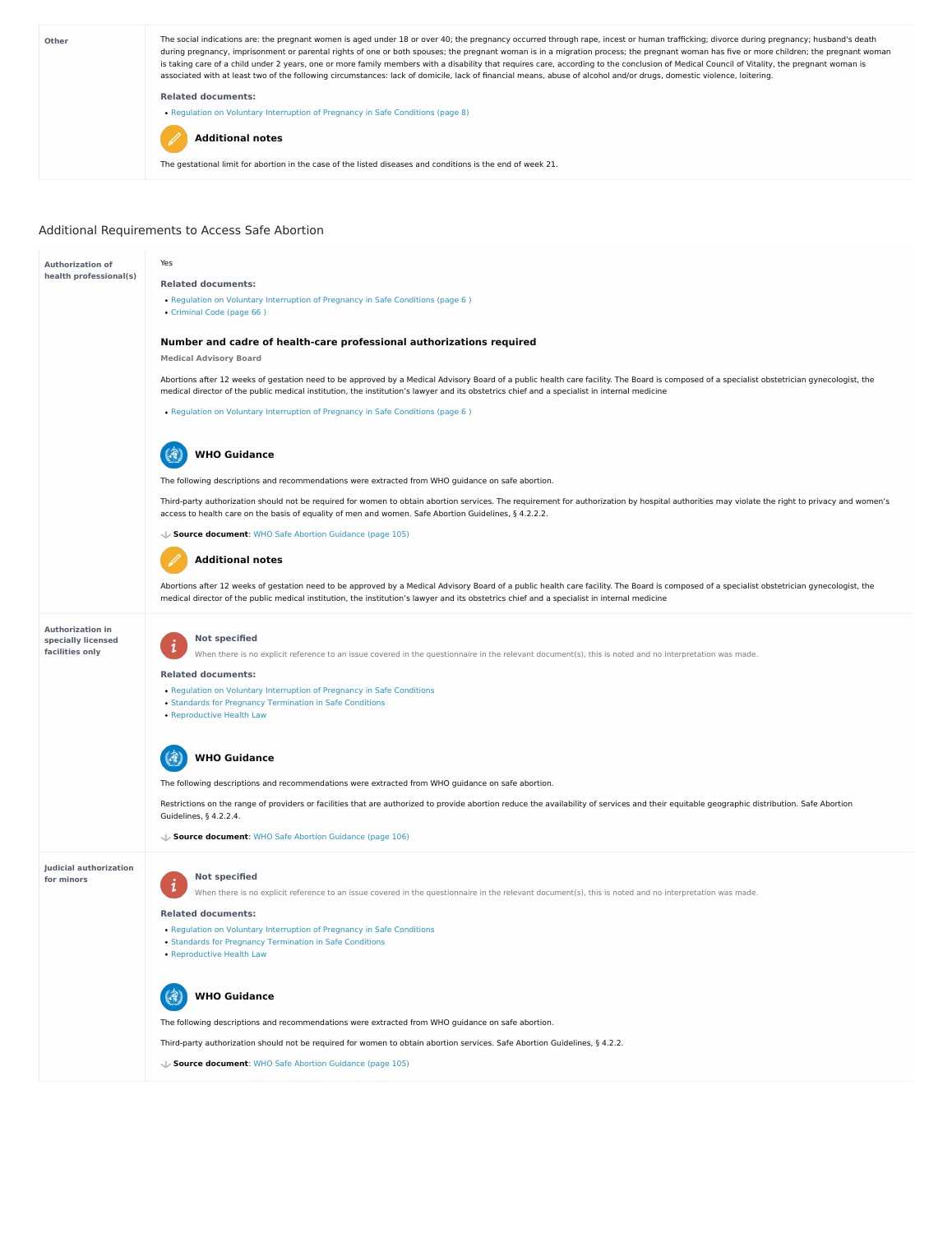### Additional Requirements to Access Safe Abortion



#### **Judicial authorization for minors**

Restrictions on the range of providers or facilities that are authorized to provide abortion reduce the availability of services and their equitable geographic distribution. Safe Abortion Guidelines, § 4.2.2.4.

- Regulation on Voluntary [Interruption](https://abortion-policies.srhr.org/documents/countries/01-MOLDOVA-REGULATION-VOLUNTARY-INTERRUPTION-OF-PREGNANCY-IN-SAFE-CONDITIONS-MINISTRY-OF-HEALTH-2010.pdf) of Pregnancy in Safe Conditions
- Standards for Pregnancy [Termination](https://abortion-policies.srhr.org/documents/countries/02-Moldova-Standards-for-performing-abortions-in-safe-conditions-Ministry-of-Health-2011.pdf) in Safe Conditions
- [Reproductive](https://abortion-policies.srhr.org/documents/countries/03-Moldova-Law-on-Reproductive-Health-Republic-of-Moldova-2012.pdf) Health Law



The following descriptions and recommendations were extracted from WHO guidance on safe abortion.

**Source document**: WHO Safe Abortion [Guidance](https://abortion-policies.srhr.org/documents/reference/WHO-Safe-Abortion-Guidance-2012.pdf#page=106) (page 106)

### **Not specified**

When there is no explicit reference to an issue covered in the questionnaire in the relevant document(s), this is noted and no interpretation was made.

#### **Related documents:**

 $\ddot{\mathbf{1}}$ 

The following descriptions and recommendations were extracted from WHO guidance on safe abortion.

Third-party authorization should not be required for women to obtain abortion services. Safe Abortion Guidelines, § 4.2.2.



**Source document**: WHO Safe Abortion [Guidance](https://abortion-policies.srhr.org/documents/reference/WHO-Safe-Abortion-Guidance-2012.pdf#page=105) (page 105)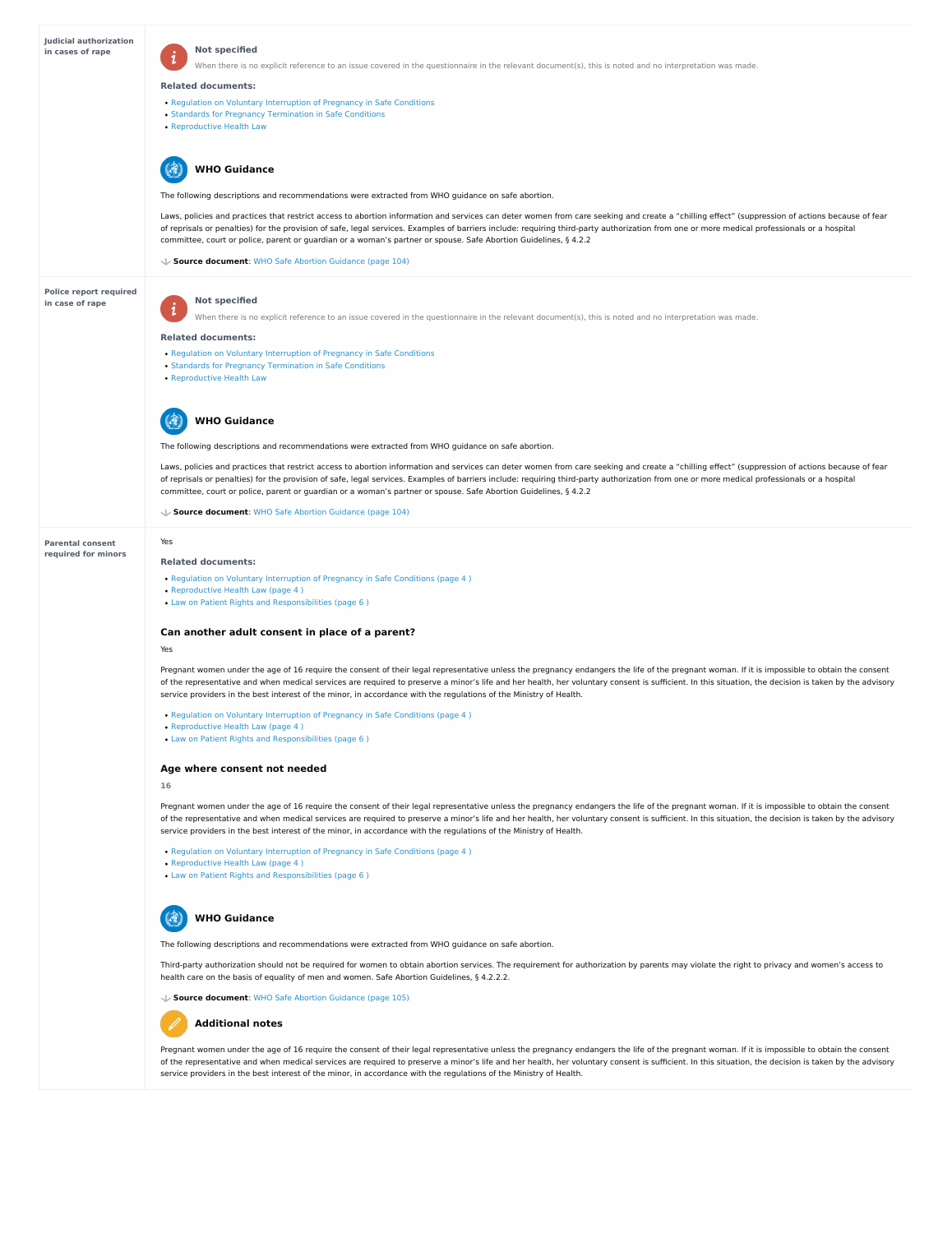| <b>Judicial authorization</b><br>in cases of rape | <b>Not specified</b>                                                                                                                                                                                                                                                                                                                                                                                                                                                                                                         |
|---------------------------------------------------|------------------------------------------------------------------------------------------------------------------------------------------------------------------------------------------------------------------------------------------------------------------------------------------------------------------------------------------------------------------------------------------------------------------------------------------------------------------------------------------------------------------------------|
|                                                   | When there is no explicit reference to an issue covered in the questionnaire in the relevant document(s), this is noted and no interpretation was made.                                                                                                                                                                                                                                                                                                                                                                      |
|                                                   | <b>Related documents:</b>                                                                                                                                                                                                                                                                                                                                                                                                                                                                                                    |
|                                                   | • Regulation on Voluntary Interruption of Pregnancy in Safe Conditions<br>• Standards for Pregnancy Termination in Safe Conditions                                                                                                                                                                                                                                                                                                                                                                                           |
|                                                   | • Reproductive Health Law                                                                                                                                                                                                                                                                                                                                                                                                                                                                                                    |
|                                                   | <b>WHO Guidance</b>                                                                                                                                                                                                                                                                                                                                                                                                                                                                                                          |
|                                                   | The following descriptions and recommendations were extracted from WHO guidance on safe abortion.                                                                                                                                                                                                                                                                                                                                                                                                                            |
|                                                   | Laws, policies and practices that restrict access to abortion information and services can deter women from care seeking and create a "chilling effect" (suppression of actions because of fear<br>of reprisals or penalties) for the provision of safe, legal services. Examples of barriers include: requiring third-party authorization from one or more medical professionals or a hospital<br>committee, court or police, parent or guardian or a woman's partner or spouse. Safe Abortion Guidelines, § 4.2.2          |
|                                                   | ↓ Source document: WHO Safe Abortion Guidance (page 104)                                                                                                                                                                                                                                                                                                                                                                                                                                                                     |
| <b>Police report required</b>                     |                                                                                                                                                                                                                                                                                                                                                                                                                                                                                                                              |
| in case of rape                                   | <b>Not specified</b><br>$\mathbf{i}$<br>When there is no explicit reference to an issue covered in the questionnaire in the relevant document(s), this is noted and no interpretation was made.                                                                                                                                                                                                                                                                                                                              |
|                                                   | <b>Related documents:</b>                                                                                                                                                                                                                                                                                                                                                                                                                                                                                                    |
|                                                   | • Regulation on Voluntary Interruption of Pregnancy in Safe Conditions                                                                                                                                                                                                                                                                                                                                                                                                                                                       |
|                                                   | • Standards for Pregnancy Termination in Safe Conditions<br>• Reproductive Health Law                                                                                                                                                                                                                                                                                                                                                                                                                                        |
|                                                   | <b>HO Guidance</b>                                                                                                                                                                                                                                                                                                                                                                                                                                                                                                           |
|                                                   | The following descriptions and recommendations were extracted from WHO guidance on safe abortion.                                                                                                                                                                                                                                                                                                                                                                                                                            |
|                                                   | Laws, policies and practices that restrict access to abortion information and services can deter women from care seeking and create a "chilling effect" (suppression of actions because of fear<br>of reprisals or penalties) for the provision of safe, legal services. Examples of barriers include: requiring third-party authorization from one or more medical professionals or a hospital<br>committee, court or police, parent or guardian or a woman's partner or spouse. Safe Abortion Guidelines, § 4.2.2          |
|                                                   | ↓ Source document: WHO Safe Abortion Guidance (page 104)                                                                                                                                                                                                                                                                                                                                                                                                                                                                     |
| <b>Parental consent</b>                           | Yes                                                                                                                                                                                                                                                                                                                                                                                                                                                                                                                          |
| required for minors                               | <b>Related documents:</b>                                                                                                                                                                                                                                                                                                                                                                                                                                                                                                    |
|                                                   | • Regulation on Voluntary Interruption of Pregnancy in Safe Conditions (page 4)<br>• Reproductive Health Law (page 4)                                                                                                                                                                                                                                                                                                                                                                                                        |
|                                                   | • Law on Patient Rights and Responsibilities (page 6)                                                                                                                                                                                                                                                                                                                                                                                                                                                                        |
|                                                   | Can another adult consent in place of a parent?                                                                                                                                                                                                                                                                                                                                                                                                                                                                              |
|                                                   | Yes                                                                                                                                                                                                                                                                                                                                                                                                                                                                                                                          |
|                                                   | Pregnant women under the age of 16 require the consent of their legal representative unless the pregnancy endangers the life of the pregnant woman. If it is impossible to obtain the consent<br>of the representative and when medical services are required to preserve a minor's life and her health, her voluntary consent is sufficient. In this situation, the decision is taken by the advisory<br>service providers in the best interest of the minor, in accordance with the regulations of the Ministry of Health. |
|                                                   | . Regulation on Voluntary Interruption of Pregnancy in Safe Conditions (page 4)<br>• Reproductive Health Law (page 4)                                                                                                                                                                                                                                                                                                                                                                                                        |
|                                                   | • Law on Patient Rights and Responsibilities (page 6)                                                                                                                                                                                                                                                                                                                                                                                                                                                                        |
|                                                   | Age where consent not needed                                                                                                                                                                                                                                                                                                                                                                                                                                                                                                 |

Pregnant women under the age of 16 require the consent of their legal representative unless the pregnancy endangers the life of the pregnant woman. If it is impossible to obtain the consent of the representative and when medical services are required to preserve a minor's life and her health, her voluntary consent is sufficient. In this situation, the decision is taken by the advisory service providers in the best interest of the minor, in accordance with the regulations of the Ministry of Health.

- Regulation on Voluntary [Interruption](https://abortion-policies.srhr.org/documents/countries/01-MOLDOVA-REGULATION-VOLUNTARY-INTERRUPTION-OF-PREGNANCY-IN-SAFE-CONDITIONS-MINISTRY-OF-HEALTH-2010.pdf#page=4%0A) of Pregnancy in Safe Conditions (page 4)
- [Reproductive](https://abortion-policies.srhr.org/documents/countries/03-Moldova-Law-on-Reproductive-Health-Republic-of-Moldova-2012.pdf#page=4%0A) Health Law (page 4)
- Law on Patient Rights and [Responsibilities](https://abortion-policies.srhr.org/documents/countries/07-MOLDOVA-LAW-ON-PATIENTS-RIGHTS-2005.pdf#page=6%0A) (page 6 )

Third-party authorization should not be required for women to obtain abortion services. The requirement for authorization by parents may violate the right to privacy and women's access to health care on the basis of equality of men and women. Safe Abortion Guidelines, § 4.2.2.2.

Pregnant women under the age of 16 require the consent of their legal representative unless the pregnancy endangers the life of the pregnant woman. If it is impossible to obtain the consent of the representative and when medical services are required to preserve a minor's life and her health, her voluntary consent is sufficient. In this situation, the decision is taken by the advisory service providers in the best interest of the minor, in accordance with the regulations of the Ministry of Health.

**16**

The following descriptions and recommendations were extracted from WHO guidance on safe abortion.



**Source document**: WHO Safe Abortion [Guidance](https://abortion-policies.srhr.org/documents/reference/WHO-Safe-Abortion-Guidance-2012.pdf#page=105) (page 105)

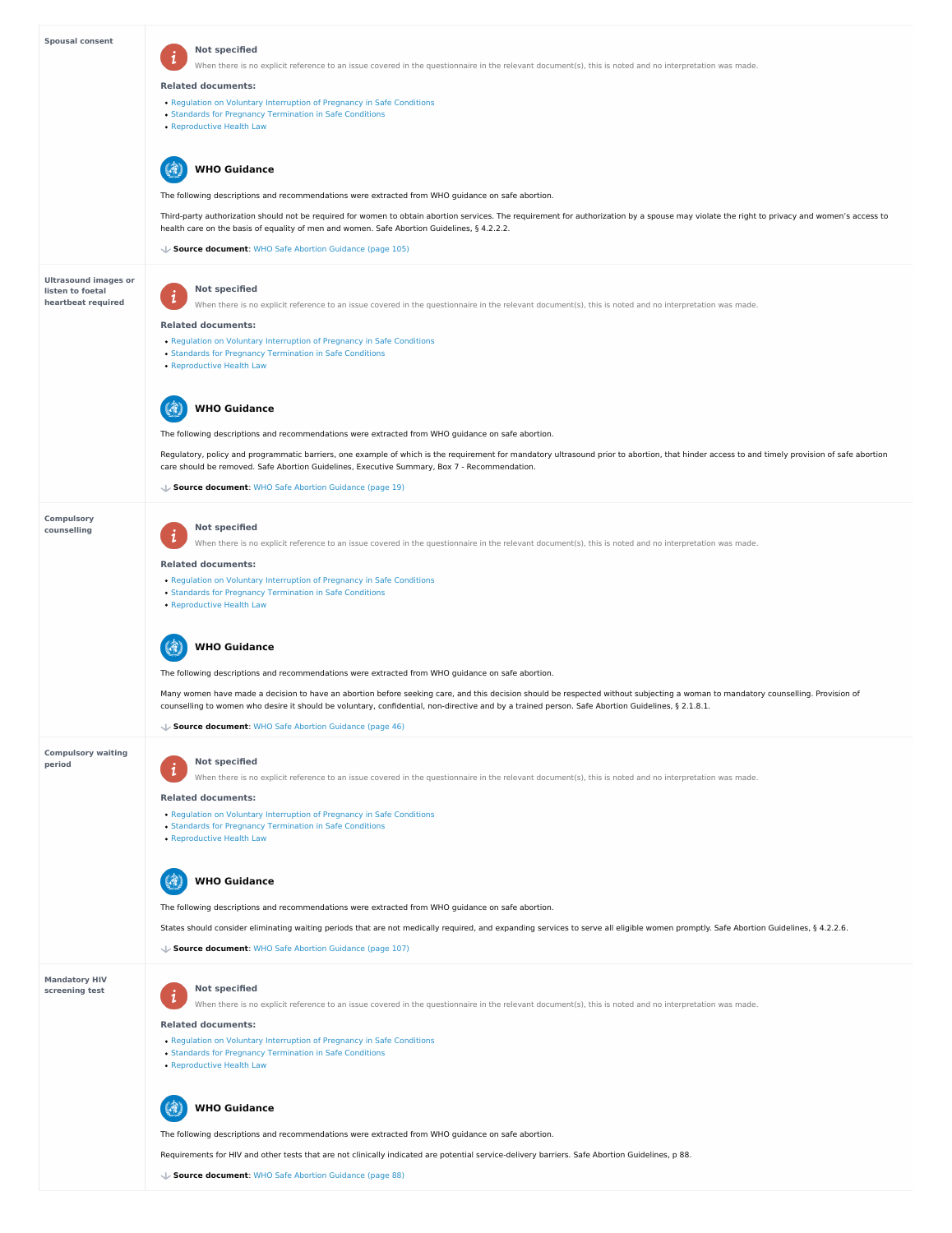**period**

### **Mandatory HIV screening test**

| <b>Spousal consent</b>                          | <b>Not specified</b>                                                                                                                                                                                                                                                                        |
|-------------------------------------------------|---------------------------------------------------------------------------------------------------------------------------------------------------------------------------------------------------------------------------------------------------------------------------------------------|
|                                                 | When there is no explicit reference to an issue covered in the questionnaire in the relevant document(s), this is noted and no interpretation was made.                                                                                                                                     |
|                                                 | <b>Related documents:</b>                                                                                                                                                                                                                                                                   |
|                                                 | • Regulation on Voluntary Interruption of Pregnancy in Safe Conditions                                                                                                                                                                                                                      |
|                                                 | • Standards for Pregnancy Termination in Safe Conditions<br>• Reproductive Health Law                                                                                                                                                                                                       |
|                                                 |                                                                                                                                                                                                                                                                                             |
|                                                 | <b>WHO Guidance</b>                                                                                                                                                                                                                                                                         |
|                                                 | The following descriptions and recommendations were extracted from WHO guidance on safe abortion.                                                                                                                                                                                           |
|                                                 | Third-party authorization should not be required for women to obtain abortion services. The requirement for authorization by a spouse may violate the right to privacy and women's access to<br>health care on the basis of equality of men and women. Safe Abortion Guidelines, § 4.2.2.2. |
|                                                 | ↓ Source document: WHO Safe Abortion Guidance (page 105)                                                                                                                                                                                                                                    |
|                                                 |                                                                                                                                                                                                                                                                                             |
| <b>Ultrasound images or</b><br>listen to foetal | <b>Not specified</b>                                                                                                                                                                                                                                                                        |
| heartbeat required                              | $\mathbf{i}$<br>When there is no explicit reference to an issue covered in the questionnaire in the relevant document(s), this is noted and no interpretation was made.                                                                                                                     |
|                                                 | <b>Related documents:</b>                                                                                                                                                                                                                                                                   |
|                                                 | • Regulation on Voluntary Interruption of Pregnancy in Safe Conditions                                                                                                                                                                                                                      |
|                                                 | • Standards for Pregnancy Termination in Safe Conditions<br>• Reproductive Health Law                                                                                                                                                                                                       |
|                                                 |                                                                                                                                                                                                                                                                                             |
|                                                 | <b>WHO Guidance</b>                                                                                                                                                                                                                                                                         |
|                                                 | The following descriptions and recommendations were extracted from WHO guidance on safe abortion.                                                                                                                                                                                           |
|                                                 | Regulatory, policy and programmatic barriers, one example of which is the requirement for mandatory ultrasound prior to abortion, that hinder access to and timely provision of safe abortion                                                                                               |
|                                                 | care should be removed. Safe Abortion Guidelines, Executive Summary, Box 7 - Recommendation.                                                                                                                                                                                                |
|                                                 | ↓ Source document: WHO Safe Abortion Guidance (page 19)                                                                                                                                                                                                                                     |
|                                                 |                                                                                                                                                                                                                                                                                             |
| <b>Compulsory</b><br>counselling                | <b>Not specified</b>                                                                                                                                                                                                                                                                        |
|                                                 | When there is no explicit reference to an issue covered in the questionnaire in the relevant document(s), this is noted and no interpretation was made.                                                                                                                                     |
|                                                 | <b>Related documents:</b>                                                                                                                                                                                                                                                                   |
|                                                 | • Regulation on Voluntary Interruption of Pregnancy in Safe Conditions                                                                                                                                                                                                                      |
|                                                 | • Standards for Pregnancy Termination in Safe Conditions<br>• Reproductive Health Law                                                                                                                                                                                                       |
|                                                 |                                                                                                                                                                                                                                                                                             |
|                                                 | <b>WHO Guidance</b>                                                                                                                                                                                                                                                                         |
|                                                 | The following descriptions and recommendations were extracted from WHO guidance on safe abortion.                                                                                                                                                                                           |
|                                                 | Many women have made a decision to have an abortion before seeking care, and this decision should be respected without subjecting a woman to mandatory counselling. Provision of                                                                                                            |
|                                                 | counselling to women who desire it should be voluntary, confidential, non-directive and by a trained person. Safe Abortion Guidelines, § 2.1.8.1.                                                                                                                                           |
|                                                 | ↓ Source document: WHO Safe Abortion Guidance (page 46)                                                                                                                                                                                                                                     |
| <b>Compulsory waiting</b>                       |                                                                                                                                                                                                                                                                                             |

- Regulation on Voluntary [Interruption](https://abortion-policies.srhr.org/documents/countries/01-MOLDOVA-REGULATION-VOLUNTARY-INTERRUPTION-OF-PREGNANCY-IN-SAFE-CONDITIONS-MINISTRY-OF-HEALTH-2010.pdf) of Pregnancy in Safe Conditions
- Standards for Pregnancy [Termination](https://abortion-policies.srhr.org/documents/countries/02-Moldova-Standards-for-performing-abortions-in-safe-conditions-Ministry-of-Health-2011.pdf) in Safe Conditions
- [Reproductive](https://abortion-policies.srhr.org/documents/countries/03-Moldova-Law-on-Reproductive-Health-Republic-of-Moldova-2012.pdf) Health Law

#### (3) **WHO Guidance**

#### **Not specified**  $\boldsymbol{i}$

When there is no explicit reference to an issue covered in the questionnaire in the relevant document(s), this is noted and no interpretation was made.

**Not specified**

When there is no explicit reference to an issue covered in the questionnaire in the relevant document(s), this is noted and no interpretation was made.

#### **Related documents:**

 $\mathbf{i}$ 

The following descriptions and recommendations were extracted from WHO guidance on safe abortion.

States should consider eliminating waiting periods that are not medically required, and expanding services to serve all eligible women promptly. Safe Abortion Guidelines, § 4.2.2.6.

**Source document**: WHO Safe Abortion [Guidance](https://abortion-policies.srhr.org/documents/reference/WHO-Safe-Abortion-Guidance-2012.pdf#page=107) (page 107)

#### **Related documents:**

- Regulation on Voluntary [Interruption](https://abortion-policies.srhr.org/documents/countries/01-MOLDOVA-REGULATION-VOLUNTARY-INTERRUPTION-OF-PREGNANCY-IN-SAFE-CONDITIONS-MINISTRY-OF-HEALTH-2010.pdf) of Pregnancy in Safe Conditions
- Standards for Pregnancy [Termination](https://abortion-policies.srhr.org/documents/countries/02-Moldova-Standards-for-performing-abortions-in-safe-conditions-Ministry-of-Health-2011.pdf) in Safe Conditions
- [Reproductive](https://abortion-policies.srhr.org/documents/countries/03-Moldova-Law-on-Reproductive-Health-Republic-of-Moldova-2012.pdf) Health Law

The following descriptions and recommendations were extracted from WHO guidance on safe abortion.

Requirements for HIV and other tests that are not clinically indicated are potential service-delivery barriers. Safe Abortion Guidelines, p 88.



**Source document**: WHO Safe Abortion [Guidance](https://abortion-policies.srhr.org/documents/reference/WHO-Safe-Abortion-Guidance-2012.pdf#page=88) (page 88)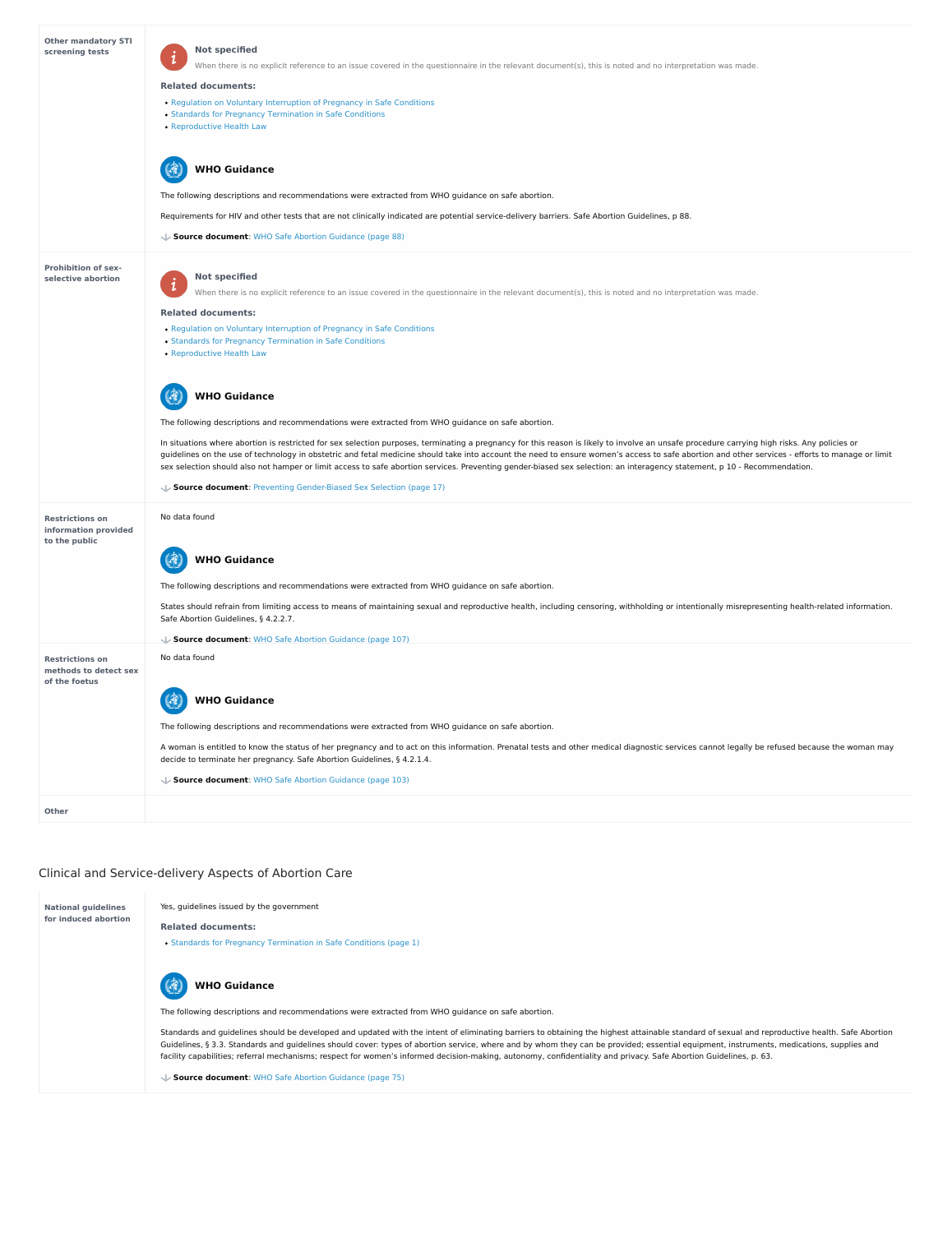# Clinical and Service-delivery Aspects of Abortion Care

| <b>Other mandatory STI</b><br>screening tests                    | <b>Not specified</b><br>$\mathbf{i}$<br>When there is no explicit reference to an issue covered in the questionnaire in the relevant document(s), this is noted and no interpretation was made.<br><b>Related documents:</b><br>• Regulation on Voluntary Interruption of Pregnancy in Safe Conditions<br>• Standards for Pregnancy Termination in Safe Conditions<br>• Reproductive Health Law<br><b>WHO Guidance</b><br>The following descriptions and recommendations were extracted from WHO guidance on safe abortion.<br>Requirements for HIV and other tests that are not clinically indicated are potential service-delivery barriers. Safe Abortion Guidelines, p 88.<br>↓ Source document: WHO Safe Abortion Guidance (page 88)                                                                                                                                                                                                                                                                                                                                                                                                                                           |
|------------------------------------------------------------------|-------------------------------------------------------------------------------------------------------------------------------------------------------------------------------------------------------------------------------------------------------------------------------------------------------------------------------------------------------------------------------------------------------------------------------------------------------------------------------------------------------------------------------------------------------------------------------------------------------------------------------------------------------------------------------------------------------------------------------------------------------------------------------------------------------------------------------------------------------------------------------------------------------------------------------------------------------------------------------------------------------------------------------------------------------------------------------------------------------------------------------------------------------------------------------------|
| <b>Prohibition of sex-</b><br>selective abortion                 | <b>Not specified</b><br>$\vert i\vert$<br>When there is no explicit reference to an issue covered in the questionnaire in the relevant document(s), this is noted and no interpretation was made.<br><b>Related documents:</b><br>• Regulation on Voluntary Interruption of Pregnancy in Safe Conditions<br>• Standards for Pregnancy Termination in Safe Conditions<br>• Reproductive Health Law<br><b>WHO Guidance</b><br>The following descriptions and recommendations were extracted from WHO guidance on safe abortion.<br>In situations where abortion is restricted for sex selection purposes, terminating a pregnancy for this reason is likely to involve an unsafe procedure carrying high risks. Any policies or<br>guidelines on the use of technology in obstetric and fetal medicine should take into account the need to ensure women's access to safe abortion and other services - efforts to manage or limit<br>sex selection should also not hamper or limit access to safe abortion services. Preventing gender-biased sex selection: an interagency statement, p 10 - Recommendation.<br>↓ Source document: Preventing Gender-Biased Sex Selection (page 17) |
| <b>Restrictions on</b><br>information provided<br>to the public  | No data found<br><b>WHO Guidance</b><br>The following descriptions and recommendations were extracted from WHO guidance on safe abortion.<br>States should refrain from limiting access to means of maintaining sexual and reproductive health, including censoring, withholding or intentionally misrepresenting health-related information.<br>Safe Abortion Guidelines, § 4.2.2.7.<br>Source document: WHO Safe Abortion Guidance (page 107)                                                                                                                                                                                                                                                                                                                                                                                                                                                                                                                                                                                                                                                                                                                                     |
| <b>Restrictions on</b><br>methods to detect sex<br>of the foetus | No data found<br><b>WHO Guidance</b><br>The following descriptions and recommendations were extracted from WHO guidance on safe abortion.<br>A woman is entitled to know the status of her pregnancy and to act on this information. Prenatal tests and other medical diagnostic services cannot legally be refused because the woman may<br>decide to terminate her pregnancy. Safe Abortion Guidelines, § 4.2.1.4.                                                                                                                                                                                                                                                                                                                                                                                                                                                                                                                                                                                                                                                                                                                                                                |

Standards and guidelines should be developed and updated with the intent of eliminating barriers to obtaining the highest attainable standard of sexual and reproductive health. Safe Abortion Guidelines, § 3.3. Standards and guidelines should cover: types of abortion service, where and by whom they can be provided; essential equipment, instruments, medications, supplies and facility capabilities; referral mechanisms; respect for women's informed decision-making, autonomy, confidentiality and privacy. Safe Abortion Guidelines, p. 63.

#### 3 **WHO Guidance**

**Source document**: WHO Safe Abortion [Guidance](https://abortion-policies.srhr.org/documents/reference/WHO-Safe-Abortion-Guidance-2012.pdf#page=103) (page 103)

**National guidelines for induced abortion** Yes, guidelines issued by the government

**Related documents:**

• Standards for Pregnancy [Termination](https://abortion-policies.srhr.org/documents/countries/02-Moldova-Standards-for-performing-abortions-in-safe-conditions-Ministry-of-Health-2011.pdf#page=1) in Safe Conditions (page 1)

The following descriptions and recommendations were extracted from WHO guidance on safe abortion.

**Source document**: WHO Safe Abortion [Guidance](https://abortion-policies.srhr.org/documents/reference/WHO-Safe-Abortion-Guidance-2012.pdf#page=75) (page 75)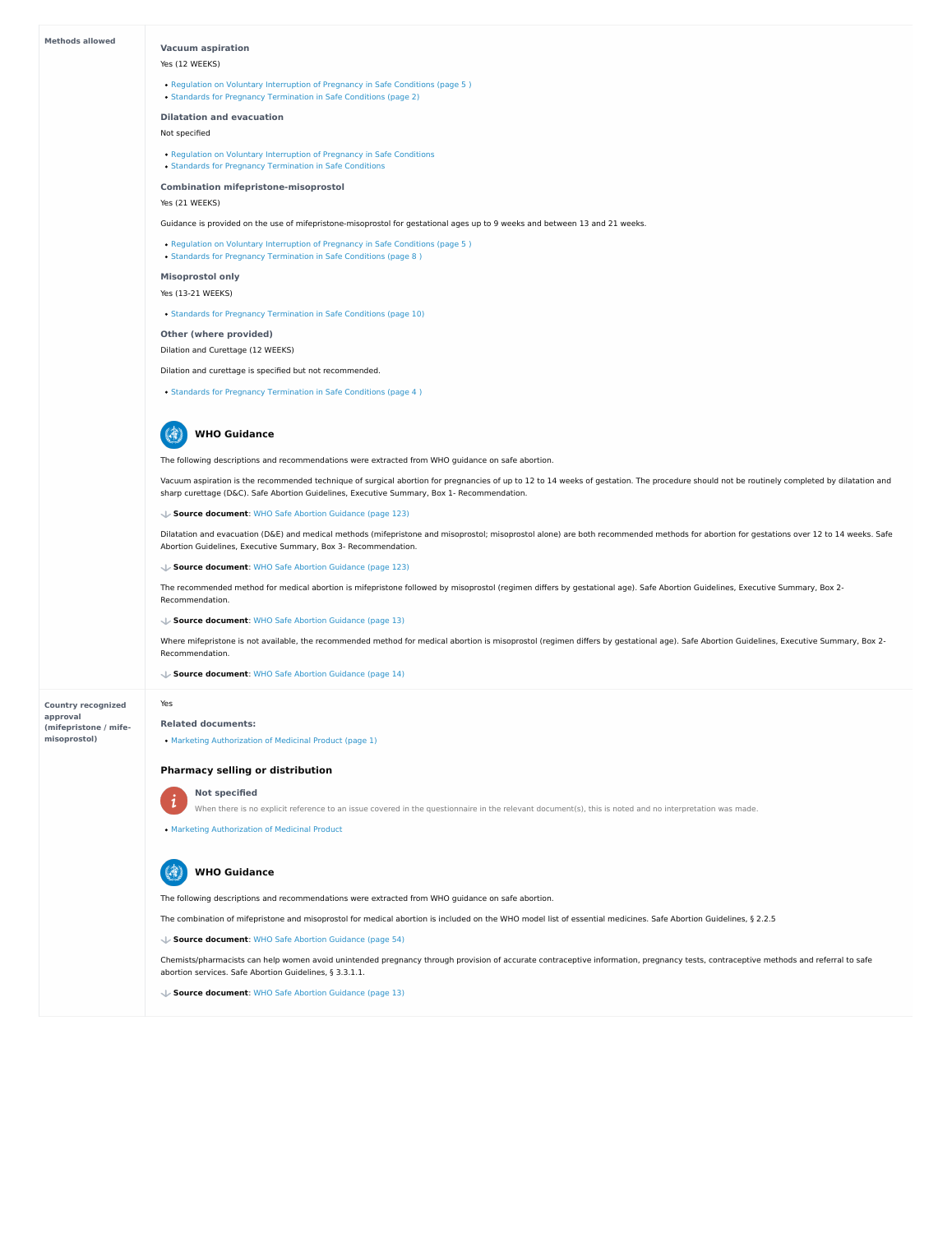#### **Methods allowed**

**Country recognized approval (mifepristone / mife misoprostol)**

#### **Vacuum aspiration**

### Yes (12 WEEKS)

- Regulation on Voluntary [Interruption](https://abortion-policies.srhr.org/documents/countries/01-MOLDOVA-REGULATION-VOLUNTARY-INTERRUPTION-OF-PREGNANCY-IN-SAFE-CONDITIONS-MINISTRY-OF-HEALTH-2010.pdf#page=5%0A) of Pregnancy in Safe Conditions (page 5)
- Standards for Pregnancy [Termination](https://abortion-policies.srhr.org/documents/countries/02-Moldova-Standards-for-performing-abortions-in-safe-conditions-Ministry-of-Health-2011.pdf#page=2) in Safe Conditions (page 2)

#### **Dilatation and evacuation**

Not specified

#### **Combination mifepristone-misoprostol**

Yes (21 WEEKS)

#### **Misoprostol only**

Yes (13-21 WEEKS)

• Standards for Pregnancy [Termination](https://abortion-policies.srhr.org/documents/countries/02-Moldova-Standards-for-performing-abortions-in-safe-conditions-Ministry-of-Health-2011.pdf#page=10) in Safe Conditions (page 10)

#### **Other (where provided)**

Dilation and Curettage (12 WEEKS)

Regulation on Voluntary [Interruption](https://abortion-policies.srhr.org/documents/countries/01-MOLDOVA-REGULATION-VOLUNTARY-INTERRUPTION-OF-PREGNANCY-IN-SAFE-CONDITIONS-MINISTRY-OF-HEALTH-2010.pdf) of Pregnancy in Safe Conditions

Standards for Pregnancy [Termination](https://abortion-policies.srhr.org/documents/countries/02-Moldova-Standards-for-performing-abortions-in-safe-conditions-Ministry-of-Health-2011.pdf) in Safe Conditions

Guidance is provided on the use of mifepristone-misoprostol for gestational ages up to 9 weeks and between 13 and 21 weeks.

• Regulation on Voluntary [Interruption](https://abortion-policies.srhr.org/documents/countries/01-MOLDOVA-REGULATION-VOLUNTARY-INTERRUPTION-OF-PREGNANCY-IN-SAFE-CONDITIONS-MINISTRY-OF-HEALTH-2010.pdf#page=5%0A) of Pregnancy in Safe Conditions (page 5)

• Standards for Pregnancy [Termination](https://abortion-policies.srhr.org/documents/countries/02-Moldova-Standards-for-performing-abortions-in-safe-conditions-Ministry-of-Health-2011.pdf#page=8%0A) in Safe Conditions (page 8)

Vacuum aspiration is the recommended technique of surgical abortion for pregnancies of up to 12 to 14 weeks of gestation. The procedure should not be routinely completed by dilatation and sharp curettage (D&C). Safe Abortion Guidelines, Executive Summary, Box 1- Recommendation.

Dilation and curettage is specified but not recommended.

• Standards for Pregnancy [Termination](https://abortion-policies.srhr.org/documents/countries/02-Moldova-Standards-for-performing-abortions-in-safe-conditions-Ministry-of-Health-2011.pdf#page=4%0A) in Safe Conditions (page 4)

The following descriptions and recommendations were extracted from WHO guidance on safe abortion.

Dilatation and evacuation (D&E) and medical methods (mifepristone and misoprostol; misoprostol alone) are both recommended methods for abortion for gestations over 12 to 14 weeks. Safe Abortion Guidelines, Executive Summary, Box 3- Recommendation.

#### 4 **WHO Guidance**

The recommended method for medical abortion is mifepristone followed by misoprostol (regimen differs by gestational age). Safe Abortion Guidelines, Executive Summary, Box 2- Recommendation.

#### **Source document**: WHO Safe Abortion [Guidance](https://abortion-policies.srhr.org/documents/reference/WHO-Safe-Abortion-Guidance-2012.pdf#page=123) (page 123)

**Source document**: WHO Safe Abortion [Guidance](https://abortion-policies.srhr.org/documents/reference/WHO-Safe-Abortion-Guidance-2012.pdf#page=123) (page 123)

Where mifepristone is not available, the recommended method for medical abortion is misoprostol (regimen differs by gestational age). Safe Abortion Guidelines, Executive Summary, Box 2- Recommendation.

#### **Source document**: WHO Safe Abortion [Guidance](https://abortion-policies.srhr.org/documents/reference/WHO-Safe-Abortion-Guidance-2012.pdf#page=13) (page 13)



**Source document**: WHO Safe Abortion [Guidance](https://abortion-policies.srhr.org/documents/reference/WHO-Safe-Abortion-Guidance-2012.pdf#page=14) (page 14)

Yes

 $\mathbf{i}$ 

#### **Related documents:**

Marketing [Authorization](https://abortion-policies.srhr.org/documents/countries/05-Moldova-Registration-Certificate-Medabon-Medicines-and-Medical-Devices-Agency-and-Ministry-of-Health-2014.pdf#page=1) of Medicinal Product (page 1)

#### **Pharmacy selling or distribution**



### **Not specified**

When there is no explicit reference to an issue covered in the questionnaire in the relevant document(s), this is noted and no interpretation was made.

Marketing [Authorization](https://abortion-policies.srhr.org/documents/countries/05-Moldova-Registration-Certificate-Medabon-Medicines-and-Medical-Devices-Agency-and-Ministry-of-Health-2014.pdf) of Medicinal Product

The following descriptions and recommendations were extracted from WHO guidance on safe abortion.

The combination of mifepristone and misoprostol for medical abortion is included on the WHO model list of essential medicines. Safe Abortion Guidelines, § 2.2.5

Chemists/pharmacists can help women avoid unintended pregnancy through provision of accurate contraceptive information, pregnancy tests, contraceptive methods and referral to safe abortion services. Safe Abortion Guidelines, § 3.3.1.1.

**Source document**: WHO Safe Abortion [Guidance](https://abortion-policies.srhr.org/documents/reference/WHO-Safe-Abortion-Guidance-2012.pdf#page=54) (page 54)

**Source document**: WHO Safe Abortion [Guidance](https://abortion-policies.srhr.org/documents/reference/WHO-Safe-Abortion-Guidance-2012.pdf#page=13) (page 13)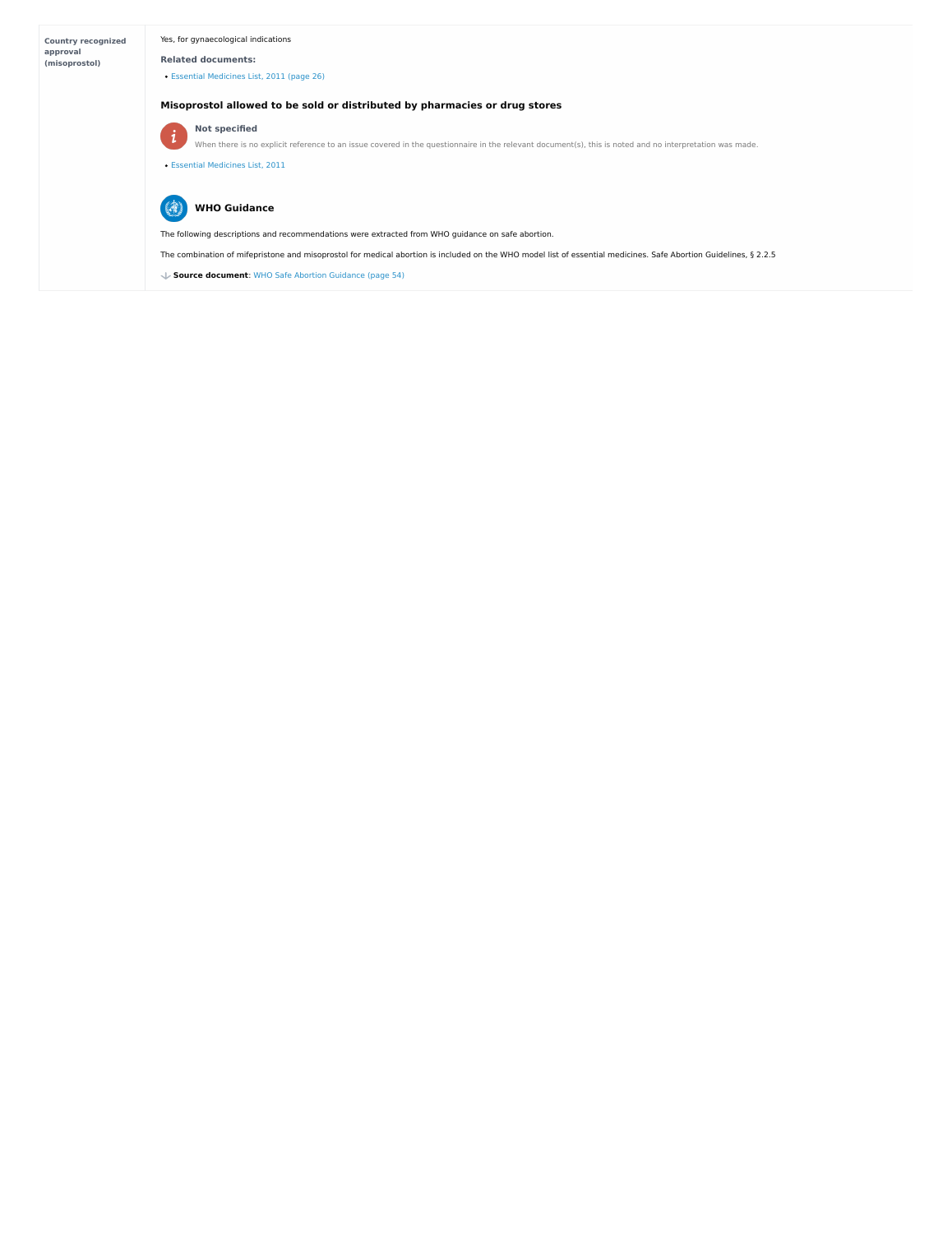| <b>Country recognized</b><br>approval<br>(misoprostol) | Yes, for gynaecological indications<br><b>Related documents:</b><br>• Essential Medicines List, 2011 (page 26)                                                                                                                      |
|--------------------------------------------------------|-------------------------------------------------------------------------------------------------------------------------------------------------------------------------------------------------------------------------------------|
|                                                        | Misoprostol allowed to be sold or distributed by pharmacies or drug stores                                                                                                                                                          |
|                                                        | <b>Not specified</b><br>$\mathbf{i}$<br>When there is no explicit reference to an issue covered in the questionnaire in the relevant document(s), this is noted and no interpretation was made.<br>• Essential Medicines List, 2011 |
|                                                        | <b>WHO Guidance</b>                                                                                                                                                                                                                 |
|                                                        | The following descriptions and recommendations were extracted from WHO guidance on safe abortion.                                                                                                                                   |
|                                                        | The combination of mifepristone and misoprostol for medical abortion is included on the WHO model list of essential medicines. Safe Abortion Guidelines, § 2.2.5                                                                    |
|                                                        | Source document: WHO Safe Abortion Guidance (page 54)                                                                                                                                                                               |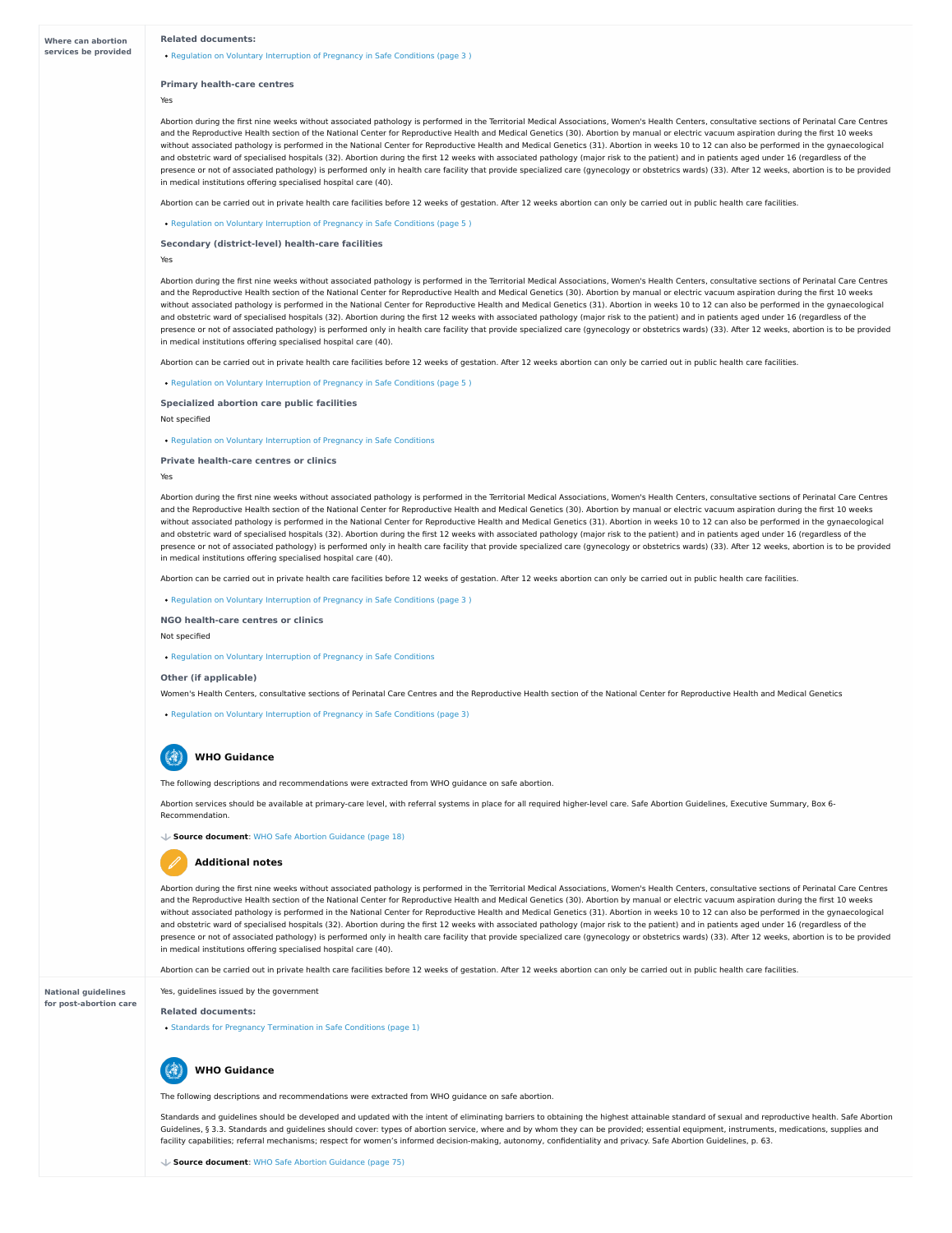**National guidelines**

### **for post-abortion care**

#### **Related documents:**

• Regulation on Voluntary [Interruption](https://abortion-policies.srhr.org/documents/countries/01-MOLDOVA-REGULATION-VOLUNTARY-INTERRUPTION-OF-PREGNANCY-IN-SAFE-CONDITIONS-MINISTRY-OF-HEALTH-2010.pdf#page=3%0A) of Pregnancy in Safe Conditions (page 3)

#### **Primary health-care centres**

Yes

**Secondary (district-level) health-care facilities**

Yes

**Specialized abortion care public facilities**

Not specified

• Regulation on Voluntary [Interruption](https://abortion-policies.srhr.org/documents/countries/01-MOLDOVA-REGULATION-VOLUNTARY-INTERRUPTION-OF-PREGNANCY-IN-SAFE-CONDITIONS-MINISTRY-OF-HEALTH-2010.pdf) of Pregnancy in Safe Conditions

**Private health-care centres or clinics**

Yes

**NGO health-care centres or clinics**

Not specified

#### **Other (if applicable)**

Women's Health Centers, consultative sections of Perinatal Care Centres and the Reproductive Health section of the National Center for Reproductive Health and Medical Genetics

• Regulation on Voluntary [Interruption](https://abortion-policies.srhr.org/documents/countries/01-MOLDOVA-REGULATION-VOLUNTARY-INTERRUPTION-OF-PREGNANCY-IN-SAFE-CONDITIONS-MINISTRY-OF-HEALTH-2010.pdf#page=3) of Pregnancy in Safe Conditions (page 3)

Abortion during the first nine weeks without associated pathology is performed in the Territorial Medical Associations, Women's Health Centers, consultative sections of Perinatal Care Centres and the Reproductive Health section of the National Center for Reproductive Health and Medical Genetics (30). Abortion by manual or electric vacuum aspiration during the first 10 weeks without associated pathology is performed in the National Center for Reproductive Health and Medical Genetics (31). Abortion in weeks 10 to 12 can also be performed in the gynaecological and obstetric ward of specialised hospitals (32). Abortion during the first 12 weeks with associated pathology (major risk to the patient) and in patients aged under 16 (regardless of the presence or not of associated pathology) is performed only in health care facility that provide specialized care (gynecology or obstetrics wards) (33). After 12 weeks, abortion is to be provided in medical institutions offering specialised hospital care (40).

Abortion can be carried out in private health care facilities before 12 weeks of gestation. After 12 weeks abortion can only be carried out in public health care facilities.

• Regulation on Voluntary [Interruption](https://abortion-policies.srhr.org/documents/countries/01-MOLDOVA-REGULATION-VOLUNTARY-INTERRUPTION-OF-PREGNANCY-IN-SAFE-CONDITIONS-MINISTRY-OF-HEALTH-2010.pdf#page=5%0A) of Pregnancy in Safe Conditions (page 5)

Abortion during the first nine weeks without associated pathology is performed in the Territorial Medical Associations, Women's Health Centers, consultative sections of Perinatal Care Centres and the Reproductive Health section of the National Center for Reproductive Health and Medical Genetics (30). Abortion by manual or electric vacuum aspiration during the first 10 weeks without associated pathology is performed in the National Center for Reproductive Health and Medical Genetics (31). Abortion in weeks 10 to 12 can also be performed in the gynaecological and obstetric ward of specialised hospitals (32). Abortion during the first 12 weeks with associated pathology (major risk to the patient) and in patients aged under 16 (regardless of the presence or not of associated pathology) is performed only in health care facility that provide specialized care (gynecology or obstetrics wards) (33). After 12 weeks, abortion is to be provided in medical institutions offering specialised hospital care (40).

Abortion can be carried out in private health care facilities before 12 weeks of gestation. After 12 weeks abortion can only be carried out in public health care facilities.

• Regulation on Voluntary [Interruption](https://abortion-policies.srhr.org/documents/countries/01-MOLDOVA-REGULATION-VOLUNTARY-INTERRUPTION-OF-PREGNANCY-IN-SAFE-CONDITIONS-MINISTRY-OF-HEALTH-2010.pdf#page=5%0A) of Pregnancy in Safe Conditions (page 5)

Abortion during the first nine weeks without associated pathology is performed in the Territorial Medical Associations, Women's Health Centers, consultative sections of Perinatal Care Centres and the Reproductive Health section of the National Center for Reproductive Health and Medical Genetics (30). Abortion by manual or electric vacuum aspiration during the first 10 weeks without associated pathology is performed in the National Center for Reproductive Health and Medical Genetics (31). Abortion in weeks 10 to 12 can also be performed in the gynaecological and obstetric ward of specialised hospitals (32). Abortion during the first 12 weeks with associated pathology (major risk to the patient) and in patients aged under 16 (regardless of the presence or not of associated pathology) is performed only in health care facility that provide specialized care (gynecology or obstetrics wards) (33). After 12 weeks, abortion is to be provided in medical institutions offering specialised hospital care (40).

Abortion can be carried out in private health care facilities before 12 weeks of gestation. After 12 weeks abortion can only be carried out in public health care facilities.

• Regulation on Voluntary [Interruption](https://abortion-policies.srhr.org/documents/countries/01-MOLDOVA-REGULATION-VOLUNTARY-INTERRUPTION-OF-PREGNANCY-IN-SAFE-CONDITIONS-MINISTRY-OF-HEALTH-2010.pdf#page=3%0A) of Pregnancy in Safe Conditions (page 3)

Regulation on Voluntary [Interruption](https://abortion-policies.srhr.org/documents/countries/01-MOLDOVA-REGULATION-VOLUNTARY-INTERRUPTION-OF-PREGNANCY-IN-SAFE-CONDITIONS-MINISTRY-OF-HEALTH-2010.pdf) of Pregnancy in Safe Conditions

The following descriptions and recommendations were extracted from WHO guidance on safe abortion.

Abortion services should be available at primary-care level, with referral systems in place for all required higher-level care. Safe Abortion Guidelines, Executive Summary, Box 6- Recommendation.

**WHO Guidance**

#### **Source document**: WHO Safe Abortion [Guidance](https://abortion-policies.srhr.org/documents/reference/WHO-Safe-Abortion-Guidance-2012.pdf#page=18) (page 18)

Abortion during the first nine weeks without associated pathology is performed in the Territorial Medical Associations, Women's Health Centers, consultative sections of Perinatal Care Centres and the Reproductive Health section of the National Center for Reproductive Health and Medical Genetics (30). Abortion by manual or electric vacuum aspiration during the first 10 weeks without associated pathology is performed in the National Center for Reproductive Health and Medical Genetics (31). Abortion in weeks 10 to 12 can also be performed in the gynaecological and obstetric ward of specialised hospitals (32). Abortion during the first 12 weeks with associated pathology (major risk to the patient) and in patients aged under 16 (regardless of the presence or not of associated pathology) is performed only in health care facility that provide specialized care (gynecology or obstetrics wards) (33). After 12 weeks, abortion is to be provided in medical institutions offering specialised hospital care (40).

Abortion can be carried out in private health care facilities before 12 weeks of gestation. After 12 weeks abortion can only be carried out in public health care facilities.

### **Additional notes**

Yes, guidelines issued by the government

#### **Related documents:**

• Standards for Pregnancy [Termination](https://abortion-policies.srhr.org/documents/countries/02-Moldova-Standards-for-performing-abortions-in-safe-conditions-Ministry-of-Health-2011.pdf#page=1) in Safe Conditions (page 1)



The following descriptions and recommendations were extracted from WHO guidance on safe abortion.

Standards and guidelines should be developed and updated with the intent of eliminating barriers to obtaining the highest attainable standard of sexual and reproductive health. Safe Abortion Guidelines, § 3.3. Standards and guidelines should cover: types of abortion service, where and by whom they can be provided; essential equipment, instruments, medications, supplies and facility capabilities; referral mechanisms; respect for women's informed decision-making, autonomy, confidentiality and privacy. Safe Abortion Guidelines, p. 63.

# **WHO Guidance**

**Source document**: WHO Safe Abortion [Guidance](https://abortion-policies.srhr.org/documents/reference/WHO-Safe-Abortion-Guidance-2012.pdf#page=75) (page 75)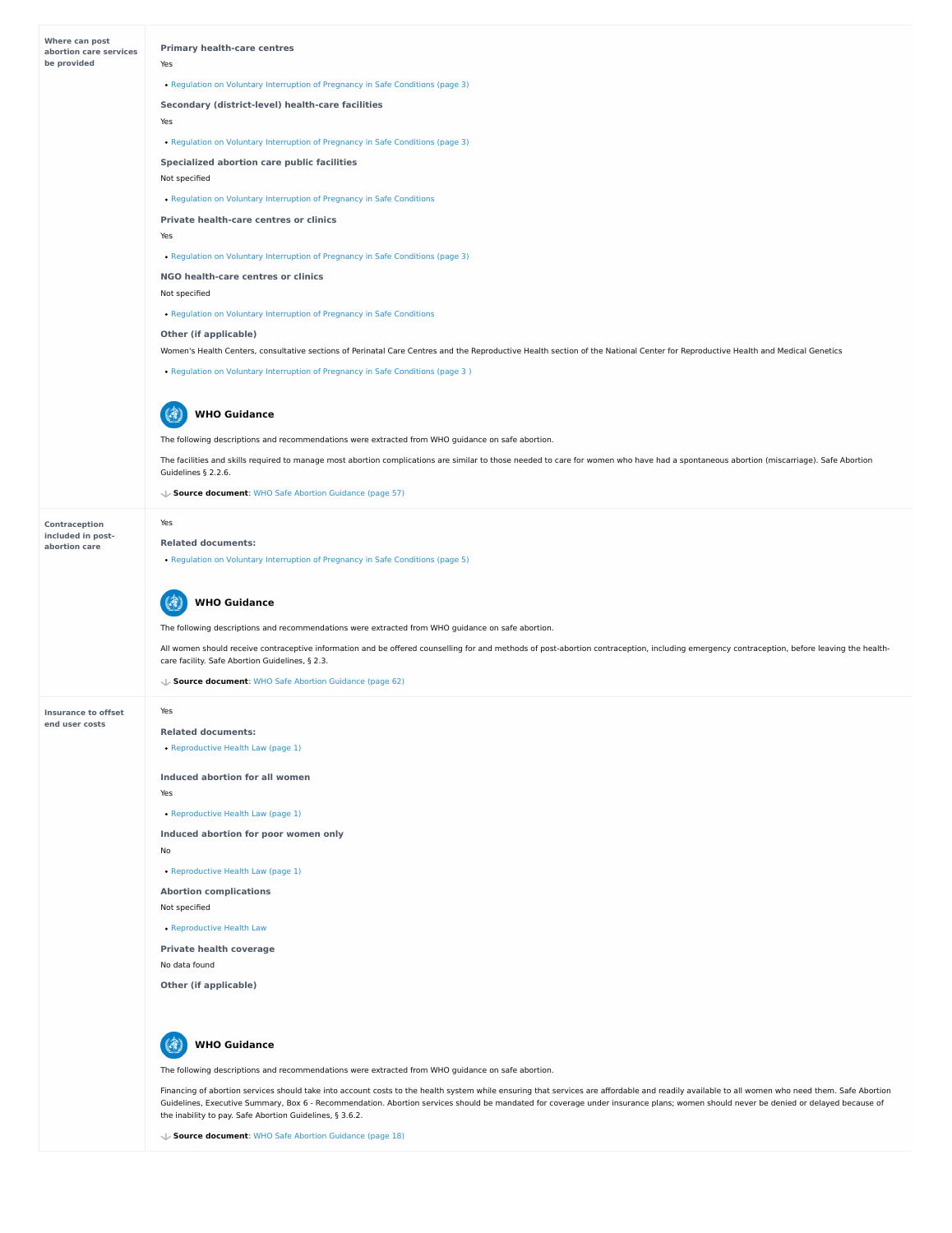| <b>Where can post</b><br>abortion care services | <b>Primary health-care centres</b>                                                                                                                                                                             |
|-------------------------------------------------|----------------------------------------------------------------------------------------------------------------------------------------------------------------------------------------------------------------|
| be provided                                     | Yes                                                                                                                                                                                                            |
|                                                 | • Regulation on Voluntary Interruption of Pregnancy in Safe Conditions (page 3)                                                                                                                                |
|                                                 | <b>Secondary (district-level) health-care facilities</b>                                                                                                                                                       |
|                                                 | Yes                                                                                                                                                                                                            |
|                                                 | • Regulation on Voluntary Interruption of Pregnancy in Safe Conditions (page 3)                                                                                                                                |
|                                                 | <b>Specialized abortion care public facilities</b>                                                                                                                                                             |
|                                                 | Not specified                                                                                                                                                                                                  |
|                                                 | • Regulation on Voluntary Interruption of Pregnancy in Safe Conditions                                                                                                                                         |
|                                                 | <b>Private health-care centres or clinics</b>                                                                                                                                                                  |
|                                                 | Yes                                                                                                                                                                                                            |
|                                                 | • Regulation on Voluntary Interruption of Pregnancy in Safe Conditions (page 3)                                                                                                                                |
|                                                 | NGO health-care centres or clinics                                                                                                                                                                             |
|                                                 | Not specified                                                                                                                                                                                                  |
|                                                 | • Regulation on Voluntary Interruption of Pregnancy in Safe Conditions                                                                                                                                         |
|                                                 | <b>Other (if applicable)</b>                                                                                                                                                                                   |
|                                                 | Women's Health Centers, consultative sections of Perinatal Care Centres and the Reproductive Health section of the National Center for Reproductive Health and Medical Genetics                                |
|                                                 | • Regulation on Voluntary Interruption of Pregnancy in Safe Conditions (page 3)                                                                                                                                |
|                                                 |                                                                                                                                                                                                                |
|                                                 | <b>WHO Guidance</b>                                                                                                                                                                                            |
|                                                 | The following descriptions and recommendations were extracted from WHO guidance on safe abortion.                                                                                                              |
|                                                 | The facilities and skills required to manage most abortion complications are similar to those needed to care for women who have had a spontaneous abortion (miscarriage). Safe Abortion<br>Guidelines § 2.2.6. |
|                                                 | ↓ Source document: WHO Safe Abortion Guidance (page 57)                                                                                                                                                        |
| <b>Contraception</b>                            | Yes                                                                                                                                                                                                            |
| included in post-<br>abortion care              | <b>Related documents:</b>                                                                                                                                                                                      |
|                                                 | • Regulation on Voluntary Interruption of Pregnancy in Safe Conditions (page 5)                                                                                                                                |
|                                                 |                                                                                                                                                                                                                |
|                                                 | <b>WHO Guidance</b>                                                                                                                                                                                            |
|                                                 | The following descriptions and recommendations were extracted from WHO guidance on safe abortion.                                                                                                              |
|                                                 | All women should receive contraceptive information and be offered counselling for and methods of post-abortion contraception, including emergency contraception, before leaving the health-                    |
|                                                 | care facility. Safe Abortion Guidelines, § 2.3.                                                                                                                                                                |
|                                                 | ↓ Source document: WHO Safe Abortion Guidance (page 62)                                                                                                                                                        |
| <b>Insurance to offset</b>                      | Yes                                                                                                                                                                                                            |
| end user costs                                  | <b>Related documents:</b>                                                                                                                                                                                      |
|                                                 | • Reproductive Health Law (page 1)                                                                                                                                                                             |
|                                                 | <b>Induced abortion for all women</b>                                                                                                                                                                          |
|                                                 |                                                                                                                                                                                                                |

Yes

**Induced abortion for poor women only**

No

**Abortion complications**

Not specified

**Private health coverage**

**Other (if applicable)**

[Reproductive](https://abortion-policies.srhr.org/documents/countries/03-Moldova-Law-on-Reproductive-Health-Republic-of-Moldova-2012.pdf#page=1) Health Law (page 1)

[Reproductive](https://abortion-policies.srhr.org/documents/countries/03-Moldova-Law-on-Reproductive-Health-Republic-of-Moldova-2012.pdf#page=1) Health Law (page 1)

[Reproductive](https://abortion-policies.srhr.org/documents/countries/03-Moldova-Law-on-Reproductive-Health-Republic-of-Moldova-2012.pdf) Health Law

No data found

The following descriptions and recommendations were extracted from WHO guidance on safe abortion.

Financing of abortion services should take into account costs to the health system while ensuring that services are affordable and readily available to all women who need them. Safe Abortion Guidelines, Executive Summary, Box 6 - Recommendation. Abortion services should be mandated for coverage under insurance plans; women should never be denied or delayed because of the inability to pay. Safe Abortion Guidelines, § 3.6.2.



**Source document**: WHO Safe Abortion [Guidance](https://abortion-policies.srhr.org/documents/reference/WHO-Safe-Abortion-Guidance-2012.pdf#page=18) (page 18)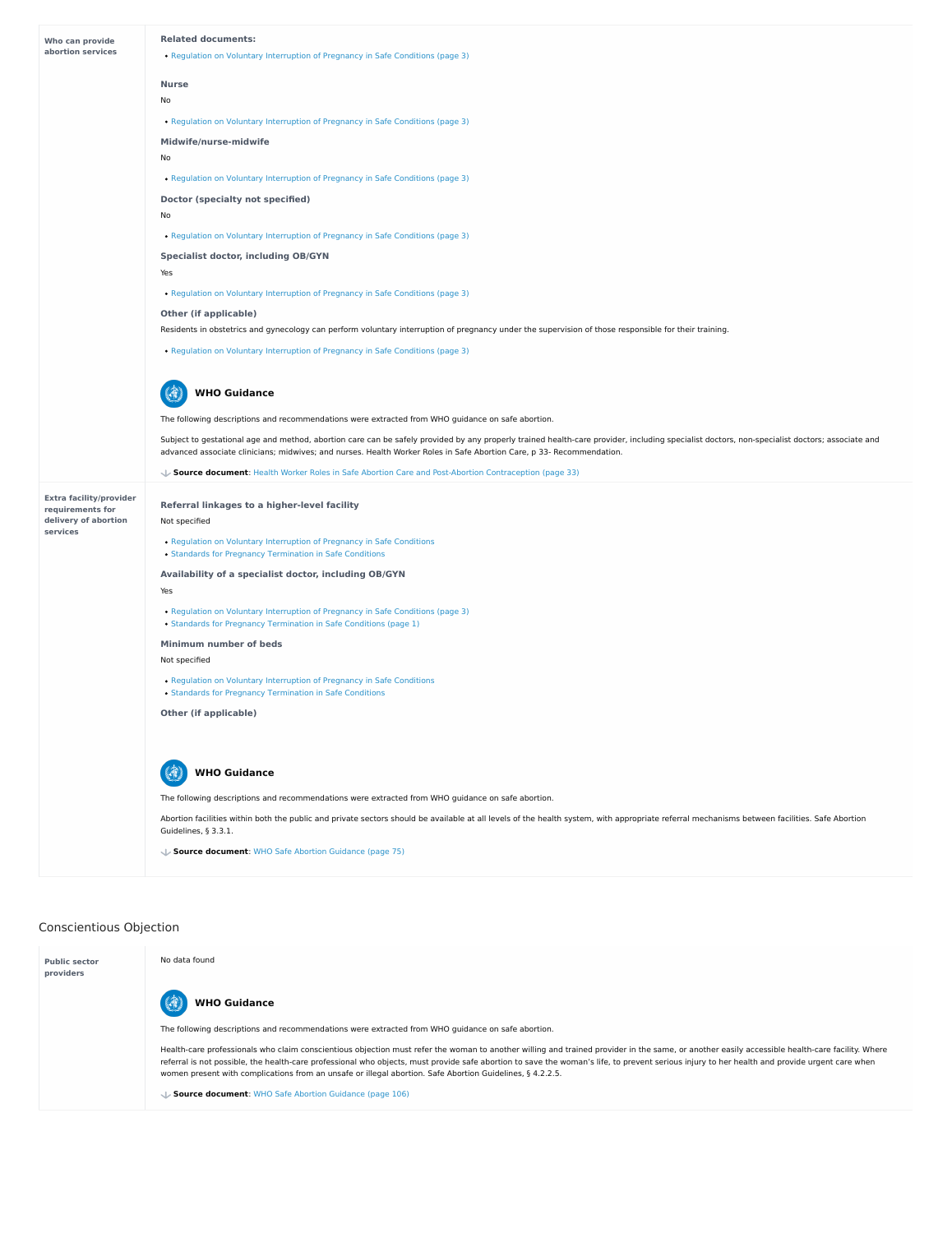# Conscientious Objection

| Who can provide<br>abortion services     | <b>Related documents:</b><br>• Regulation on Voluntary Interruption of Pregnancy in Safe Conditions (page 3)                                                                                                                                                                                                           |
|------------------------------------------|------------------------------------------------------------------------------------------------------------------------------------------------------------------------------------------------------------------------------------------------------------------------------------------------------------------------|
|                                          |                                                                                                                                                                                                                                                                                                                        |
|                                          | <b>Nurse</b><br>No                                                                                                                                                                                                                                                                                                     |
|                                          | • Regulation on Voluntary Interruption of Pregnancy in Safe Conditions (page 3)                                                                                                                                                                                                                                        |
|                                          | Midwife/nurse-midwife                                                                                                                                                                                                                                                                                                  |
|                                          | No                                                                                                                                                                                                                                                                                                                     |
|                                          | • Regulation on Voluntary Interruption of Pregnancy in Safe Conditions (page 3)                                                                                                                                                                                                                                        |
|                                          | <b>Doctor (specialty not specified)</b>                                                                                                                                                                                                                                                                                |
|                                          | No                                                                                                                                                                                                                                                                                                                     |
|                                          | • Regulation on Voluntary Interruption of Pregnancy in Safe Conditions (page 3)                                                                                                                                                                                                                                        |
|                                          | <b>Specialist doctor, including OB/GYN</b>                                                                                                                                                                                                                                                                             |
|                                          | Yes                                                                                                                                                                                                                                                                                                                    |
|                                          | • Regulation on Voluntary Interruption of Pregnancy in Safe Conditions (page 3)                                                                                                                                                                                                                                        |
|                                          | <b>Other (if applicable)</b>                                                                                                                                                                                                                                                                                           |
|                                          | Residents in obstetrics and gynecology can perform voluntary interruption of pregnancy under the supervision of those responsible for their training.                                                                                                                                                                  |
|                                          | • Regulation on Voluntary Interruption of Pregnancy in Safe Conditions (page 3)                                                                                                                                                                                                                                        |
|                                          | <b>WHO Guidance</b>                                                                                                                                                                                                                                                                                                    |
|                                          | The following descriptions and recommendations were extracted from WHO guidance on safe abortion.                                                                                                                                                                                                                      |
|                                          | Subject to gestational age and method, abortion care can be safely provided by any properly trained health-care provider, including specialist doctors, non-specialist doctors; associate and<br>advanced associate clinicians; midwives; and nurses. Health Worker Roles in Safe Abortion Care, p 33- Recommendation. |
|                                          | Source document: Health Worker Roles in Safe Abortion Care and Post-Abortion Contraception (page 33)                                                                                                                                                                                                                   |
| <b>Extra facility/provider</b>           |                                                                                                                                                                                                                                                                                                                        |
|                                          | Referral linkages to a higher-level facility                                                                                                                                                                                                                                                                           |
| requirements for<br>delivery of abortion | Not specified                                                                                                                                                                                                                                                                                                          |
| services                                 | • Regulation on Voluntary Interruption of Pregnancy in Safe Conditions<br>• Standards for Pregnancy Termination in Safe Conditions                                                                                                                                                                                     |
|                                          | Availability of a specialist doctor, including OB/GYN                                                                                                                                                                                                                                                                  |
|                                          | Yes                                                                                                                                                                                                                                                                                                                    |
|                                          | • Regulation on Voluntary Interruption of Pregnancy in Safe Conditions (page 3)<br>• Standards for Pregnancy Termination in Safe Conditions (page 1)                                                                                                                                                                   |
|                                          | <b>Minimum number of beds</b>                                                                                                                                                                                                                                                                                          |
|                                          | Not specified                                                                                                                                                                                                                                                                                                          |
|                                          | • Regulation on Voluntary Interruption of Pregnancy in Safe Conditions<br>• Standards for Pregnancy Termination in Safe Conditions                                                                                                                                                                                     |

(2) **WHO Guidance**

The following descriptions and recommendations were extracted from WHO guidance on safe abortion.

Abortion facilities within both the public and private sectors should be available at all levels of the health system, with appropriate referral mechanisms between facilities. Safe Abortion Guidelines, § 3.3.1.

**Source document**: WHO Safe Abortion [Guidance](https://abortion-policies.srhr.org/documents/reference/WHO-Safe-Abortion-Guidance-2012.pdf#page=75) (page 75)

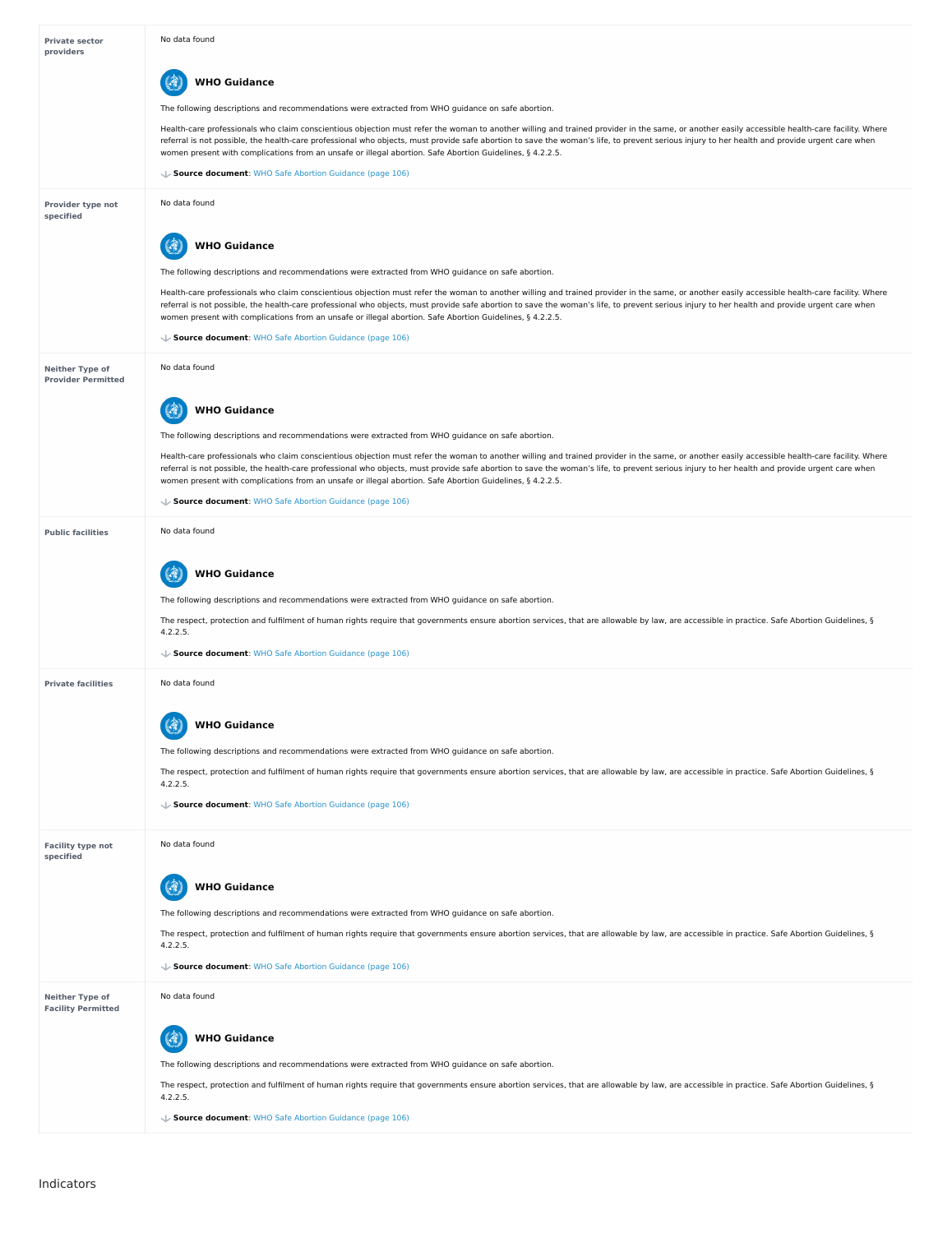# Indicators

| <b>Private sector</b><br>providers                  | No data found                                                                                                                                                                                                                                                                                                                                                                                                                                                                                                |
|-----------------------------------------------------|--------------------------------------------------------------------------------------------------------------------------------------------------------------------------------------------------------------------------------------------------------------------------------------------------------------------------------------------------------------------------------------------------------------------------------------------------------------------------------------------------------------|
|                                                     | <b>WHO Guidance</b>                                                                                                                                                                                                                                                                                                                                                                                                                                                                                          |
|                                                     | The following descriptions and recommendations were extracted from WHO guidance on safe abortion.                                                                                                                                                                                                                                                                                                                                                                                                            |
|                                                     | Health-care professionals who claim conscientious objection must refer the woman to another willing and trained provider in the same, or another easily accessible health-care facility. Where<br>referral is not possible, the health-care professional who objects, must provide safe abortion to save the woman's life, to prevent serious injury to her health and provide urgent care when<br>women present with complications from an unsafe or illegal abortion. Safe Abortion Guidelines, § 4.2.2.5. |
|                                                     | ↓ Source document: WHO Safe Abortion Guidance (page 106)                                                                                                                                                                                                                                                                                                                                                                                                                                                     |
| <b>Provider type not</b><br>specified               | No data found                                                                                                                                                                                                                                                                                                                                                                                                                                                                                                |
|                                                     | <b>WHO Guidance</b>                                                                                                                                                                                                                                                                                                                                                                                                                                                                                          |
|                                                     | The following descriptions and recommendations were extracted from WHO guidance on safe abortion.                                                                                                                                                                                                                                                                                                                                                                                                            |
|                                                     | Health-care professionals who claim conscientious objection must refer the woman to another willing and trained provider in the same, or another easily accessible health-care facility. Where<br>referral is not possible, the health-care professional who objects, must provide safe abortion to save the woman's life, to prevent serious injury to her health and provide urgent care when<br>women present with complications from an unsafe or illegal abortion. Safe Abortion Guidelines, § 4.2.2.5. |
|                                                     | ↓ Source document: WHO Safe Abortion Guidance (page 106)                                                                                                                                                                                                                                                                                                                                                                                                                                                     |
| <b>Neither Type of</b><br><b>Provider Permitted</b> | No data found                                                                                                                                                                                                                                                                                                                                                                                                                                                                                                |
|                                                     | 10 Guidance                                                                                                                                                                                                                                                                                                                                                                                                                                                                                                  |
|                                                     | The following descriptions and recommendations were extracted from WHO guidance on safe abortion.                                                                                                                                                                                                                                                                                                                                                                                                            |
|                                                     | Health-care professionals who claim conscientious objection must refer the woman to another willing and trained provider in the same, or another easily accessible health-care facility. Where<br>referral is not possible, the health-care professional who objects, must provide safe abortion to save the woman's life, to prevent serious injury to her health and provide urgent care when<br>women present with complications from an unsafe or illegal abortion. Safe Abortion Guidelines, § 4.2.2.5. |
|                                                     | ↓ Source document: WHO Safe Abortion Guidance (page 106)                                                                                                                                                                                                                                                                                                                                                                                                                                                     |
| <b>Public facilities</b>                            | No data found                                                                                                                                                                                                                                                                                                                                                                                                                                                                                                |
|                                                     | <b>WHO Guidance</b>                                                                                                                                                                                                                                                                                                                                                                                                                                                                                          |
|                                                     | The following descriptions and recommendations were extracted from WHO guidance on safe abortion.                                                                                                                                                                                                                                                                                                                                                                                                            |
|                                                     | The respect, protection and fulfilment of human rights require that governments ensure abortion services, that are allowable by law, are accessible in practice. Safe Abortion Guidelines, §<br>4.2.2.5.                                                                                                                                                                                                                                                                                                     |
|                                                     | ↓ Source document: WHO Safe Abortion Guidance (page 106)                                                                                                                                                                                                                                                                                                                                                                                                                                                     |
| <b>Private facilities</b>                           | No data found                                                                                                                                                                                                                                                                                                                                                                                                                                                                                                |
|                                                     | <b>WHO Guidance</b>                                                                                                                                                                                                                                                                                                                                                                                                                                                                                          |
|                                                     | The following descriptions and recommendations were extracted from WHO guidance on safe abortion.                                                                                                                                                                                                                                                                                                                                                                                                            |
|                                                     | The respect, protection and fulfilment of human rights require that governments ensure abortion services, that are allowable by law, are accessible in practice. Safe Abortion Guidelines, §<br>4.2.2.5.                                                                                                                                                                                                                                                                                                     |

|                                                     | ↓ Source document: WHO Safe Abortion Guidance (page 106)                                                                                                                                                 |
|-----------------------------------------------------|----------------------------------------------------------------------------------------------------------------------------------------------------------------------------------------------------------|
| <b>Facility type not</b><br>specified               | No data found                                                                                                                                                                                            |
|                                                     | <b>WHO Guidance</b>                                                                                                                                                                                      |
|                                                     | The following descriptions and recommendations were extracted from WHO guidance on safe abortion.                                                                                                        |
|                                                     | The respect, protection and fulfilment of human rights require that governments ensure abortion services, that are allowable by law, are accessible in practice. Safe Abortion Guidelines, §<br>4.2.2.5. |
|                                                     | Source document: WHO Safe Abortion Guidance (page 106)                                                                                                                                                   |
| <b>Neither Type of</b><br><b>Facility Permitted</b> | No data found                                                                                                                                                                                            |
|                                                     | <b>WHO Guidance</b>                                                                                                                                                                                      |
|                                                     | The following descriptions and recommendations were extracted from WHO guidance on safe abortion.                                                                                                        |
|                                                     | The respect, protection and fulfilment of human rights require that governments ensure abortion services, that are allowable by law, are accessible in practice. Safe Abortion Guidelines, §<br>4.2.2.5. |
|                                                     | Source document: WHO Safe Abortion Guidance (page 106)                                                                                                                                                   |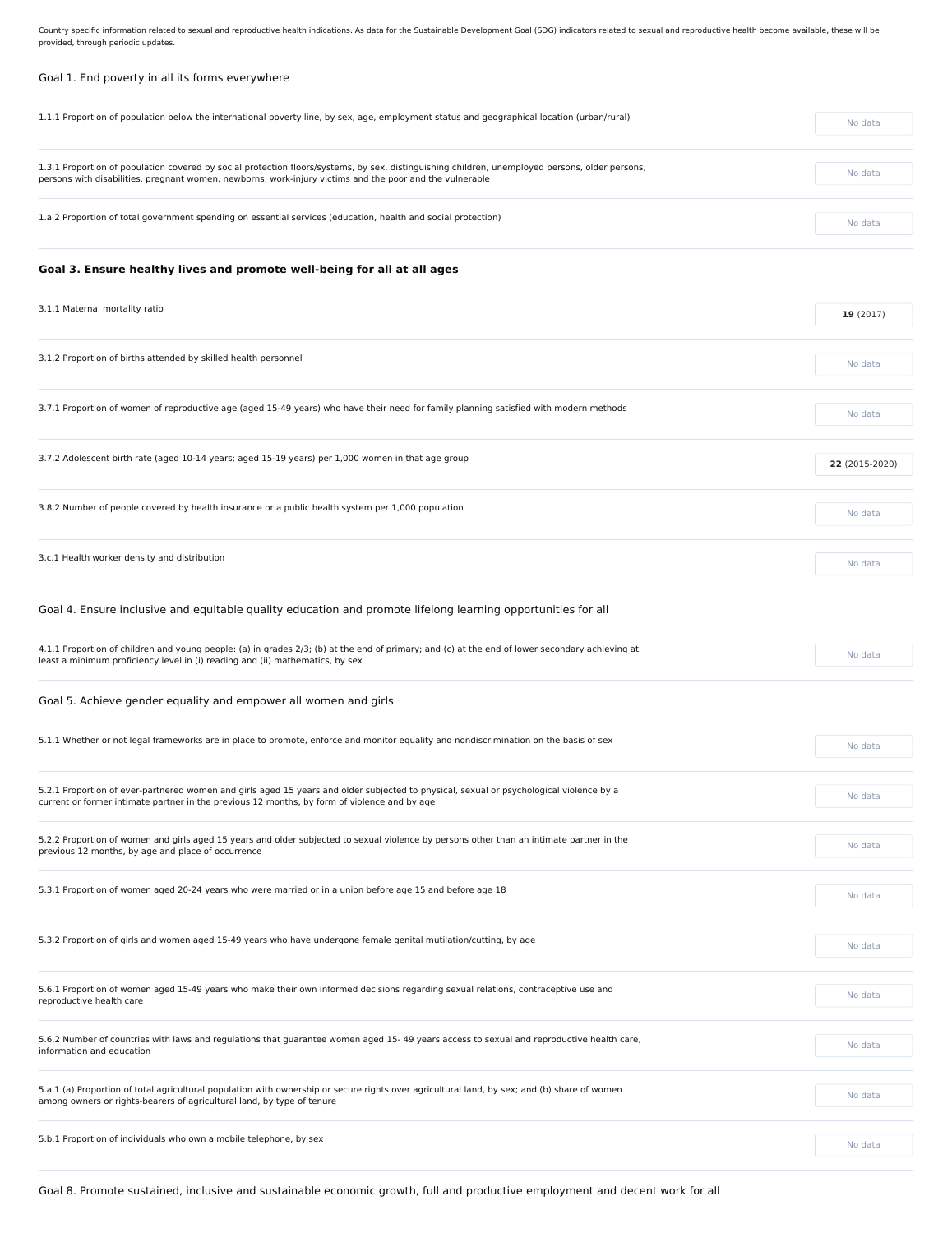Country specific information related to sexual and reproductive health indications. As data for the Sustainable Development Goal (SDG) indicators related to sexual and reproductive health become available, these will be provided, through periodic updates.

# Goal 1. End poverty in all its forms everywhere

| 1.1.1 Proportion of population below the international poverty line, by sex, age, employment status and geographical location (urban/rural)                                                                                                                 | No data        |  |
|-------------------------------------------------------------------------------------------------------------------------------------------------------------------------------------------------------------------------------------------------------------|----------------|--|
| 1.3.1 Proportion of population covered by social protection floors/systems, by sex, distinguishing children, unemployed persons, older persons,<br>persons with disabilities, pregnant women, newborns, work-injury victims and the poor and the vulnerable | No data        |  |
| 1.a.2 Proportion of total government spending on essential services (education, health and social protection)                                                                                                                                               | No data        |  |
| Goal 3. Ensure healthy lives and promote well-being for all at all ages                                                                                                                                                                                     |                |  |
| 3.1.1 Maternal mortality ratio                                                                                                                                                                                                                              | 19(2017)       |  |
| 3.1.2 Proportion of births attended by skilled health personnel                                                                                                                                                                                             | No data        |  |
| 3.7.1 Proportion of women of reproductive age (aged 15-49 years) who have their need for family planning satisfied with modern methods                                                                                                                      | No data        |  |
| 3.7.2 Adolescent birth rate (aged 10-14 years; aged 15-19 years) per 1,000 women in that age group                                                                                                                                                          | 22 (2015-2020) |  |
| 3.8.2 Number of people covered by health insurance or a public health system per 1,000 population                                                                                                                                                           | No data        |  |
| 3.c.1 Health worker density and distribution                                                                                                                                                                                                                | No data        |  |
| Goal 4. Ensure inclusive and equitable quality education and promote lifelong learning opportunities for all                                                                                                                                                |                |  |
| 4.1.1 Proportion of children and young people: (a) in grades 2/3; (b) at the end of primary; and (c) at the end of lower secondary achieving at<br>least a minimum proficiency level in (i) reading and (ii) mathematics, by sex                            | No data        |  |
| Goal 5. Achieve gender equality and empower all women and girls                                                                                                                                                                                             |                |  |
| 5.1.1 Whether or not legal frameworks are in place to promote, enforce and monitor equality and nondiscrimination on the basis of sex                                                                                                                       | No data        |  |

5.2.1 Proportion of ever-partnered women and girls aged 15 years and older subjected to physical, sexual or psychological violence by a

| s.z.i Froportion of ever-partnered women and girls aged 15 years and older subjected to physical, sexual or psychological violence by a<br>current or former intimate partner in the previous 12 months, by form of violence and by age | No data |
|-----------------------------------------------------------------------------------------------------------------------------------------------------------------------------------------------------------------------------------------|---------|
|                                                                                                                                                                                                                                         |         |
| 5.2.2 Proportion of women and girls aged 15 years and older subjected to sexual violence by persons other than an intimate partner in the<br>previous 12 months, by age and place of occurrence                                         | No data |
|                                                                                                                                                                                                                                         |         |
| 5.3.1 Proportion of women aged 20-24 years who were married or in a union before age 15 and before age 18                                                                                                                               | No data |
|                                                                                                                                                                                                                                         |         |
| 5.3.2 Proportion of girls and women aged 15-49 years who have undergone female genital mutilation/cutting, by age                                                                                                                       | No data |
|                                                                                                                                                                                                                                         |         |
| 5.6.1 Proportion of women aged 15-49 years who make their own informed decisions regarding sexual relations, contraceptive use and<br>reproductive health care                                                                          | No data |
|                                                                                                                                                                                                                                         |         |
| 5.6.2 Number of countries with laws and regulations that guarantee women aged 15-49 years access to sexual and reproductive health care,<br>information and education                                                                   | No data |
|                                                                                                                                                                                                                                         |         |
| 5.a.1 (a) Proportion of total agricultural population with ownership or secure rights over agricultural land, by sex; and (b) share of women<br>among owners or rights-bearers of agricultural land, by type of tenure                  | No data |
|                                                                                                                                                                                                                                         |         |
| 5.b.1 Proportion of individuals who own a mobile telephone, by sex                                                                                                                                                                      | No data |
|                                                                                                                                                                                                                                         |         |

Goal 8. Promote sustained, inclusive and sustainable economic growth, full and productive employment and decent work for all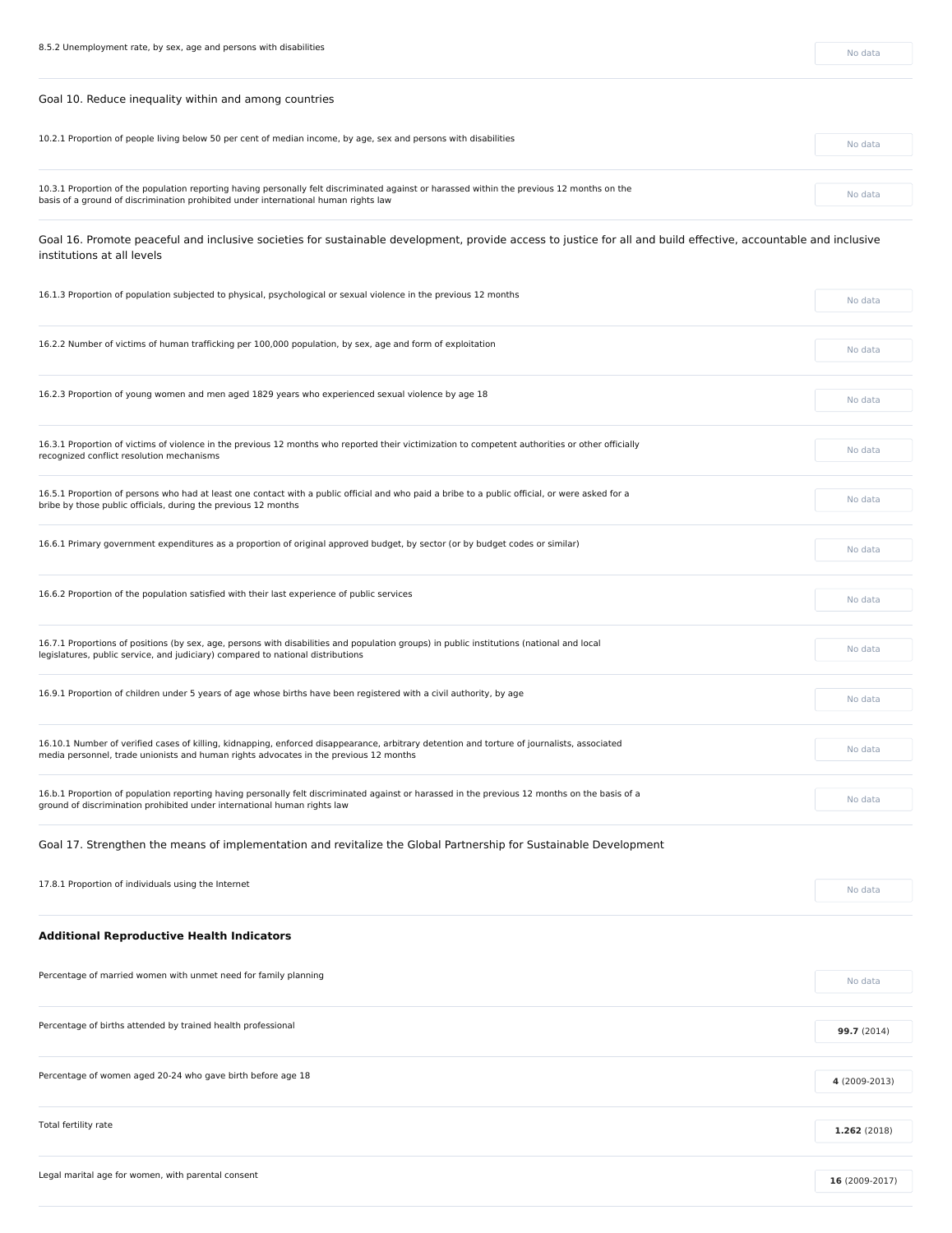Goal 10. Reduce inequality within and among countries

| 10.2.1 Proportion of people living below 50 per cent of median income, by age, sex and persons with disabilities                                                                                                                   | No data |
|------------------------------------------------------------------------------------------------------------------------------------------------------------------------------------------------------------------------------------|---------|
|                                                                                                                                                                                                                                    |         |
| 10.3.1 Proportion of the population reporting having personally felt discriminated against or harassed within the previous 12 months on the<br>basis of a ground of discrimination prohibited under international human rights law | No data |
|                                                                                                                                                                                                                                    |         |

Goal 16. Promote peaceful and inclusive societies for sustainable development, provide access to justice for all and build effective, accountable and inclusive institutions at all levels

| 16.1.3 Proportion of population subjected to physical, psychological or sexual violence in the previous 12 months                                                                                                                    |         |
|--------------------------------------------------------------------------------------------------------------------------------------------------------------------------------------------------------------------------------------|---------|
|                                                                                                                                                                                                                                      |         |
| 16.2.2 Number of victims of human trafficking per 100,000 population, by sex, age and form of exploitation                                                                                                                           | No data |
|                                                                                                                                                                                                                                      |         |
| 16.2.3 Proportion of young women and men aged 1829 years who experienced sexual violence by age 18                                                                                                                                   | No data |
|                                                                                                                                                                                                                                      |         |
| 16.3.1 Proportion of victims of violence in the previous 12 months who reported their victimization to competent authorities or other officially<br>recognized conflict resolution mechanisms                                        | No data |
|                                                                                                                                                                                                                                      |         |
| 16.5.1 Proportion of persons who had at least one contact with a public official and who paid a bribe to a public official, or were asked for a<br>bribe by those public officials, during the previous 12 months                    | No data |
| 16.6.1 Primary government expenditures as a proportion of original approved budget, by sector (or by budget codes or similar)                                                                                                        |         |
|                                                                                                                                                                                                                                      | No data |
|                                                                                                                                                                                                                                      |         |
| 16.6.2 Proportion of the population satisfied with their last experience of public services                                                                                                                                          | No data |
|                                                                                                                                                                                                                                      |         |
| 16.7.1 Proportions of positions (by sex, age, persons with disabilities and population groups) in public institutions (national and local<br>legislatures, public service, and judiciary) compared to national distributions         | No data |
|                                                                                                                                                                                                                                      |         |
| 16.9.1 Proportion of children under 5 years of age whose births have been registered with a civil authority, by age                                                                                                                  | No data |
|                                                                                                                                                                                                                                      |         |
| 16.10.1 Number of verified cases of killing, kidnapping, enforced disappearance, arbitrary detention and torture of journalists, associated<br>media personnel, trade unionists and human rights advocates in the previous 12 months | No data |

| 17.8.1 Proportion of individuals using the Internet             | No data        |
|-----------------------------------------------------------------|----------------|
| <b>Additional Reproductive Health Indicators</b>                |                |
| Percentage of married women with unmet need for family planning | No data        |
| Percentage of births attended by trained health professional    | 99.7 (2014)    |
| Percentage of women aged 20-24 who gave birth before age 18     | 4 (2009-2013)  |
| Total fertility rate                                            | 1.262 (2018)   |
| Legal marital age for women, with parental consent              | 16 (2009-2017) |

16.b.1 Proportion of population reporting having personally felt discriminated against or harassed in the previous 12 months on the basis of a ground of discrimination prohibited under international human rights law

No data

Goal 17. Strengthen the means of implementation and revitalize the Global Partnership for Sustainable Development